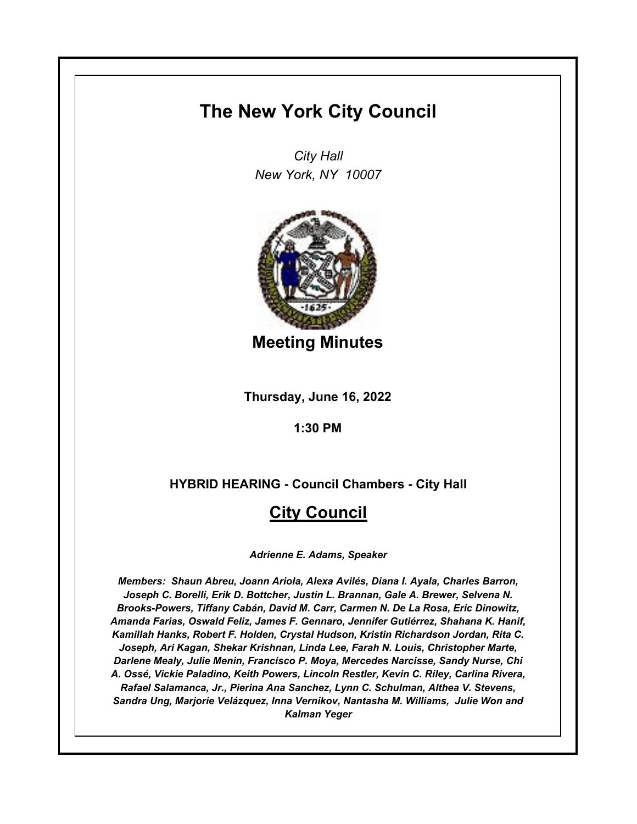# **The New York City Council**

*City Hall New York, NY 10007*



**Meeting Minutes**

**Thursday, June 16, 2022**

**1:30 PM**

**HYBRID HEARING - Council Chambers - City Hall**

# **City Council**

*Adrienne E. Adams, Speaker*

*Members: Shaun Abreu, Joann Ariola, Alexa Avilés, Diana I. Ayala, Charles Barron, Joseph C. Borelli, Erik D. Bottcher, Justin L. Brannan, Gale A. Brewer, Selvena N. Brooks-Powers, Tiffany Cabán, David M. Carr, Carmen N. De La Rosa, Eric Dinowitz, Amanda Farias, Oswald Feliz, James F. Gennaro, Jennifer Gutiérrez, Shahana K. Hanif, Kamillah Hanks, Robert F. Holden, Crystal Hudson, Kristin Richardson Jordan, Rita C. Joseph, Ari Kagan, Shekar Krishnan, Linda Lee, Farah N. Louis, Christopher Marte, Darlene Mealy, Julie Menin, Francisco P. Moya, Mercedes Narcisse, Sandy Nurse, Chi A. Ossé, Vickie Paladino, Keith Powers, Lincoln Restler, Kevin C. Riley, Carlina Rivera, Rafael Salamanca, Jr., Pierina Ana Sanchez, Lynn C. Schulman, Althea V. Stevens, Sandra Ung, Marjorie Velázquez, Inna Vernikov, Nantasha M. Williams, Julie Won and Kalman Yeger*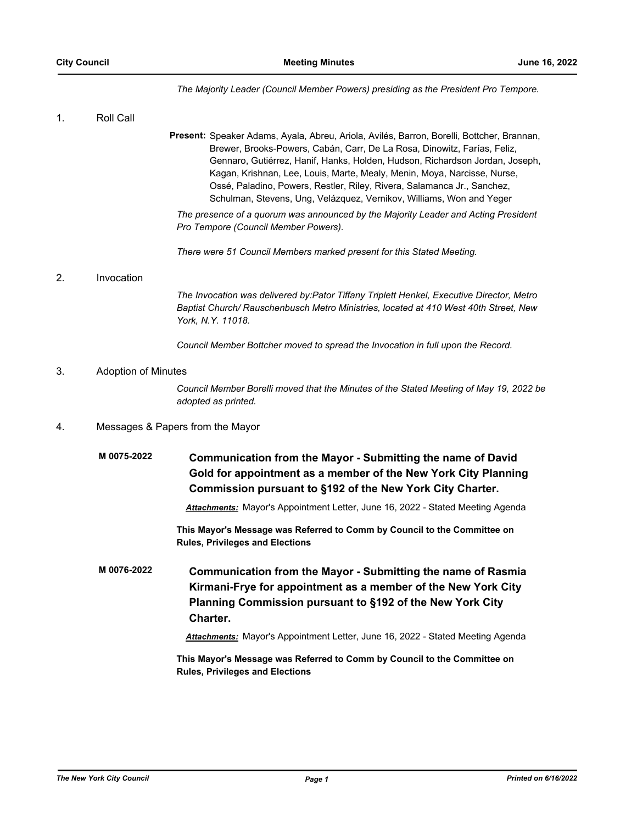#### *The Majority Leader (Council Member Powers) presiding as the President Pro Tempore.*

# 1. Roll Call Present: Speaker Adams, Ayala, Abreu, Ariola, Avilés, Barron, Borelli, Bottcher, Brannan, Brewer, Brooks-Powers, Cabán, Carr, De La Rosa, Dinowitz, Farías, Feliz, Gennaro, Gutiérrez, Hanif, Hanks, Holden, Hudson, Richardson Jordan, Joseph, Kagan, Krishnan, Lee, Louis, Marte, Mealy, Menin, Moya, Narcisse, Nurse, Ossé, Paladino, Powers, Restler, Riley, Rivera, Salamanca Jr., Sanchez, Schulman, Stevens, Ung, Velázquez, Vernikov, Williams, Won and Yeger *The presence of a quorum was announced by the Majority Leader and Acting President Pro Tempore (Council Member Powers). There were 51 Council Members marked present for this Stated Meeting.* 2. Invocation *The Invocation was delivered by:Pator Tiffany Triplett Henkel, Executive Director, Metro Baptist Church/ Rauschenbusch Metro Ministries, located at 410 West 40th Street, New York, N.Y. 11018. Council Member Bottcher moved to spread the Invocation in full upon the Record.* 3. Adoption of Minutes *Council Member Borelli moved that the Minutes of the Stated Meeting of May 19, 2022 be adopted as printed.* 4. Messages & Papers from the Mayor **Communication from the Mayor - Submitting the name of David Gold for appointment as a member of the New York City Planning Commission pursuant to §192 of the New York City Charter. M 0075-2022** *Attachments:* Mayor's Appointment Letter, June 16, 2022 - Stated Meeting Agenda **This Mayor's Message was Referred to Comm by Council to the Committee on Rules, Privileges and Elections Communication from the Mayor - Submitting the name of Rasmia Kirmani-Frye for appointment as a member of the New York City Planning Commission pursuant to §192 of the New York City Charter. M 0076-2022** *Attachments:* Mayor's Appointment Letter, June 16, 2022 - Stated Meeting Agenda **This Mayor's Message was Referred to Comm by Council to the Committee on Rules, Privileges and Elections**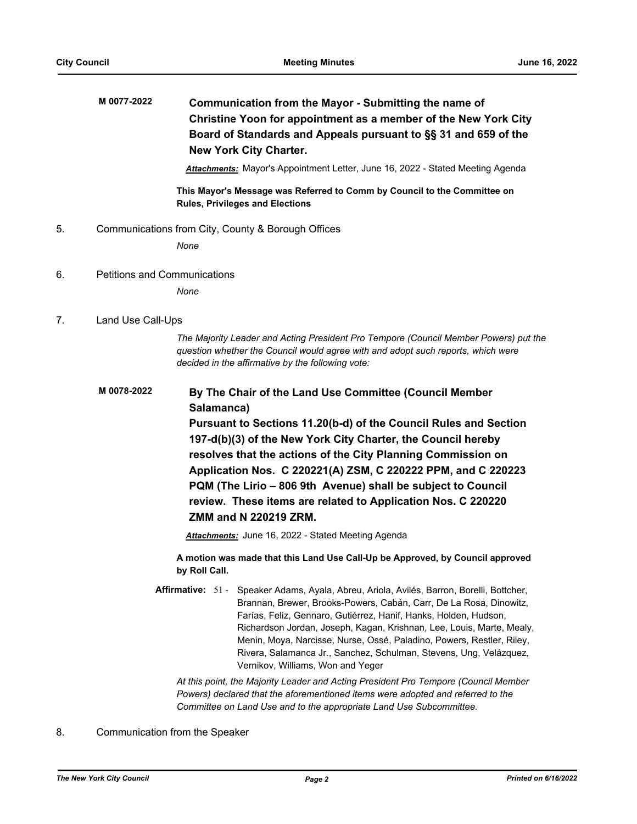# **Communication from the Mayor - Submitting the name of Christine Yoon for appointment as a member of the New York City Board of Standards and Appeals pursuant to §§ 31 and 659 of the New York City Charter. M 0077-2022**

*Attachments:* Mayor's Appointment Letter, June 16, 2022 - Stated Meeting Agenda

**This Mayor's Message was Referred to Comm by Council to the Committee on Rules, Privileges and Elections**

5. Communications from City, County & Borough Offices

*None*

6. Petitions and Communications

*None*

# 7. Land Use Call-Ups

*The Majority Leader and Acting President Pro Tempore (Council Member Powers) put the question whether the Council would agree with and adopt such reports, which were decided in the affirmative by the following vote:*

#### **By The Chair of the Land Use Committee (Council Member Salamanca) M 0078-2022**

**Pursuant to Sections 11.20(b-d) of the Council Rules and Section 197-d(b)(3) of the New York City Charter, the Council hereby resolves that the actions of the City Planning Commission on Application Nos. C 220221(A) ZSM, C 220222 PPM, and C 220223 PQM (The Lirio – 806 9th Avenue) shall be subject to Council review. These items are related to Application Nos. C 220220 ZMM and N 220219 ZRM.**

*Attachments:* June 16, 2022 - Stated Meeting Agenda

**A motion was made that this Land Use Call-Up be Approved, by Council approved by Roll Call.**

Affirmative: 51 - Speaker Adams, Ayala, Abreu, Ariola, Avilés, Barron, Borelli, Bottcher, Brannan, Brewer, Brooks-Powers, Cabán, Carr, De La Rosa, Dinowitz, Farías, Feliz, Gennaro, Gutiérrez, Hanif, Hanks, Holden, Hudson, Richardson Jordan, Joseph, Kagan, Krishnan, Lee, Louis, Marte, Mealy, Menin, Moya, Narcisse, Nurse, Ossé, Paladino, Powers, Restler, Riley, Rivera, Salamanca Jr., Sanchez, Schulman, Stevens, Ung, Velázquez, Vernikov, Williams, Won and Yeger

*At this point, the Majority Leader and Acting President Pro Tempore (Council Member Powers) declared that the aforementioned items were adopted and referred to the Committee on Land Use and to the appropriate Land Use Subcommittee.*

# 8. Communication from the Speaker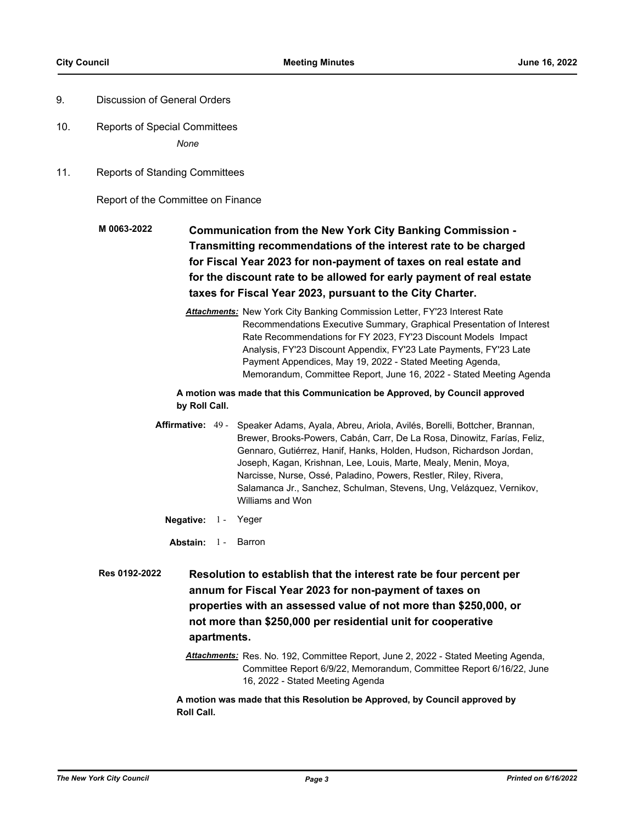- 9. Discussion of General Orders
- 10. Reports of Special Committees *None*
- 11. Reports of Standing Committees

Report of the Committee on Finance

- **Communication from the New York City Banking Commission Transmitting recommendations of the interest rate to be charged for Fiscal Year 2023 for non-payment of taxes on real estate and for the discount rate to be allowed for early payment of real estate taxes for Fiscal Year 2023, pursuant to the City Charter. M 0063-2022**
	- *Attachments:* New York City Banking Commission Letter, FY'23 Interest Rate Recommendations Executive Summary, Graphical Presentation of Interest Rate Recommendations for FY 2023, FY'23 Discount Models Impact Analysis, FY'23 Discount Appendix, FY'23 Late Payments, FY'23 Late Payment Appendices, May 19, 2022 - Stated Meeting Agenda, Memorandum, Committee Report, June 16, 2022 - Stated Meeting Agenda

**A motion was made that this Communication be Approved, by Council approved by Roll Call.**

- Affirmative: 49 Speaker Adams, Ayala, Abreu, Ariola, Avilés, Borelli, Bottcher, Brannan, Brewer, Brooks-Powers, Cabán, Carr, De La Rosa, Dinowitz, Farías, Feliz, Gennaro, Gutiérrez, Hanif, Hanks, Holden, Hudson, Richardson Jordan, Joseph, Kagan, Krishnan, Lee, Louis, Marte, Mealy, Menin, Moya, Narcisse, Nurse, Ossé, Paladino, Powers, Restler, Riley, Rivera, Salamanca Jr., Sanchez, Schulman, Stevens, Ung, Velázquez, Vernikov, Williams and Won
	- **Negative:** 1 Yeger
	- **Abstain:** 1 Barron
- **Resolution to establish that the interest rate be four percent per annum for Fiscal Year 2023 for non-payment of taxes on properties with an assessed value of not more than \$250,000, or not more than \$250,000 per residential unit for cooperative apartments. Res 0192-2022**
	- *Attachments:* Res. No. 192, Committee Report, June 2, 2022 Stated Meeting Agenda, Committee Report 6/9/22, Memorandum, Committee Report 6/16/22, June 16, 2022 - Stated Meeting Agenda

**A motion was made that this Resolution be Approved, by Council approved by Roll Call.**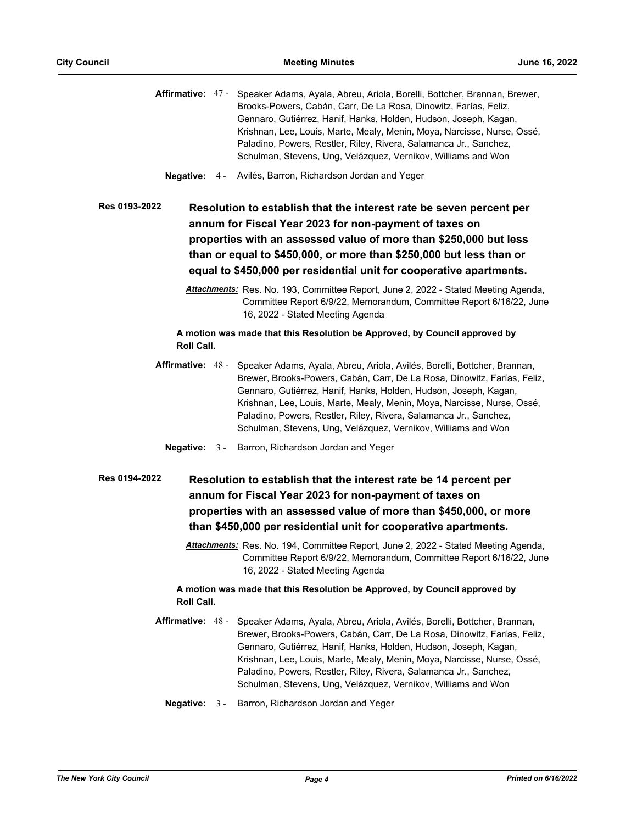|                   |       | Affirmative: 47 - Speaker Adams, Ayala, Abreu, Ariola, Borelli, Bottcher, Brannan, Brewer,<br>Brooks-Powers, Cabán, Carr, De La Rosa, Dinowitz, Farías, Feliz,<br>Gennaro, Gutiérrez, Hanif, Hanks, Holden, Hudson, Joseph, Kagan,<br>Krishnan, Lee, Louis, Marte, Mealy, Menin, Moya, Narcisse, Nurse, Ossé,<br>Paladino, Powers, Restler, Riley, Rivera, Salamanca Jr., Sanchez,<br>Schulman, Stevens, Ung, Velázquez, Vernikov, Williams and Won         |
|-------------------|-------|-------------------------------------------------------------------------------------------------------------------------------------------------------------------------------------------------------------------------------------------------------------------------------------------------------------------------------------------------------------------------------------------------------------------------------------------------------------|
|                   |       | Negative: 4 - Avilés, Barron, Richardson Jordan and Yeger                                                                                                                                                                                                                                                                                                                                                                                                   |
| Res 0193-2022     |       | Resolution to establish that the interest rate be seven percent per<br>annum for Fiscal Year 2023 for non-payment of taxes on                                                                                                                                                                                                                                                                                                                               |
|                   |       | properties with an assessed value of more than \$250,000 but less                                                                                                                                                                                                                                                                                                                                                                                           |
|                   |       | than or equal to \$450,000, or more than \$250,000 but less than or                                                                                                                                                                                                                                                                                                                                                                                         |
|                   |       | equal to \$450,000 per residential unit for cooperative apartments.                                                                                                                                                                                                                                                                                                                                                                                         |
|                   |       | Attachments: Res. No. 193, Committee Report, June 2, 2022 - Stated Meeting Agenda,<br>Committee Report 6/9/22, Memorandum, Committee Report 6/16/22, June<br>16, 2022 - Stated Meeting Agenda                                                                                                                                                                                                                                                               |
| Roll Call.        |       | A motion was made that this Resolution be Approved, by Council approved by                                                                                                                                                                                                                                                                                                                                                                                  |
|                   |       | Affirmative: 48 - Speaker Adams, Ayala, Abreu, Ariola, Avilés, Borelli, Bottcher, Brannan,<br>Brewer, Brooks-Powers, Cabán, Carr, De La Rosa, Dinowitz, Farías, Feliz,<br>Gennaro, Gutiérrez, Hanif, Hanks, Holden, Hudson, Joseph, Kagan,<br>Krishnan, Lee, Louis, Marte, Mealy, Menin, Moya, Narcisse, Nurse, Ossé,<br>Paladino, Powers, Restler, Riley, Rivera, Salamanca Jr., Sanchez,<br>Schulman, Stevens, Ung, Velázquez, Vernikov, Williams and Won |
|                   |       | <b>Negative:</b> 3 - Barron, Richardson Jordan and Yeger                                                                                                                                                                                                                                                                                                                                                                                                    |
| Res 0194-2022     |       | Resolution to establish that the interest rate be 14 percent per<br>annum for Fiscal Year 2023 for non-payment of taxes on<br>properties with an assessed value of more than \$450,000, or more<br>than \$450,000 per residential unit for cooperative apartments.                                                                                                                                                                                          |
|                   |       | Attachments: Res. No. 194, Committee Report, June 2, 2022 - Stated Meeting Agenda,<br>Committee Report 6/9/22, Memorandum, Committee Report 6/16/22, June<br>16, 2022 - Stated Meeting Agenda                                                                                                                                                                                                                                                               |
| Roll Call.        |       | A motion was made that this Resolution be Approved, by Council approved by                                                                                                                                                                                                                                                                                                                                                                                  |
| Affirmative: 48 - |       | Speaker Adams, Ayala, Abreu, Ariola, Avilés, Borelli, Bottcher, Brannan,<br>Brewer, Brooks-Powers, Cabán, Carr, De La Rosa, Dinowitz, Farías, Feliz,<br>Gennaro, Gutiérrez, Hanif, Hanks, Holden, Hudson, Joseph, Kagan,<br>Krishnan, Lee, Louis, Marte, Mealy, Menin, Moya, Narcisse, Nurse, Ossé,<br>Paladino, Powers, Restler, Riley, Rivera, Salamanca Jr., Sanchez,<br>Schulman, Stevens, Ung, Velázquez, Vernikov, Williams and Won                   |
| <b>Negative:</b>  | $3 -$ | Barron, Richardson Jordan and Yeger                                                                                                                                                                                                                                                                                                                                                                                                                         |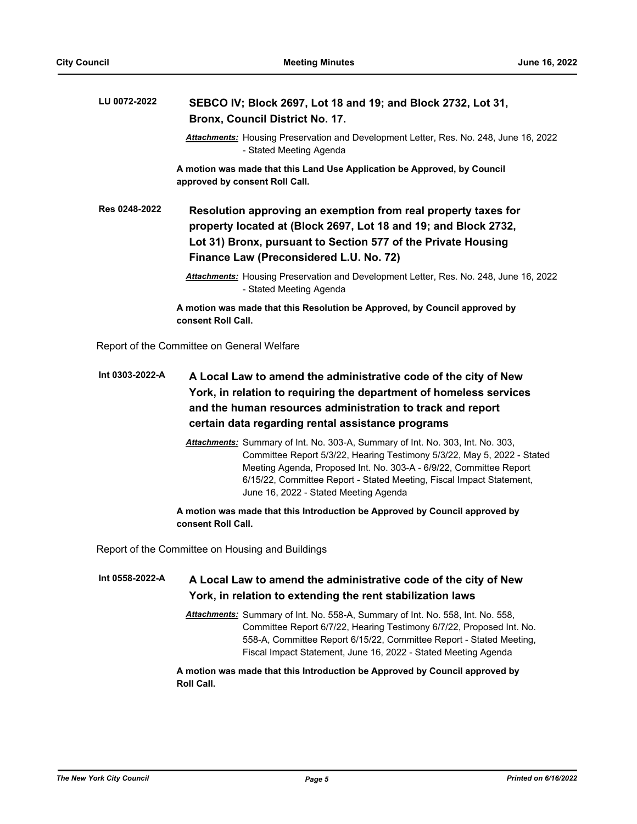#### **SEBCO IV; Block 2697, Lot 18 and 19; and Block 2732, Lot 31, Bronx, Council District No. 17. LU 0072-2022**

*Attachments:* Housing Preservation and Development Letter, Res. No. 248, June 16, 2022 - Stated Meeting Agenda

**A motion was made that this Land Use Application be Approved, by Council approved by consent Roll Call.**

**Resolution approving an exemption from real property taxes for property located at (Block 2697, Lot 18 and 19; and Block 2732, Lot 31) Bronx, pursuant to Section 577 of the Private Housing Finance Law (Preconsidered L.U. No. 72) Res 0248-2022**

> *Attachments:* Housing Preservation and Development Letter, Res. No. 248, June 16, 2022 - Stated Meeting Agenda

**A motion was made that this Resolution be Approved, by Council approved by consent Roll Call.**

Report of the Committee on General Welfare

- **A Local Law to amend the administrative code of the city of New York, in relation to requiring the department of homeless services and the human resources administration to track and report certain data regarding rental assistance programs Int 0303-2022-A**
	- *Attachments:* Summary of Int. No. 303-A, Summary of Int. No. 303, Int. No. 303, Committee Report 5/3/22, Hearing Testimony 5/3/22, May 5, 2022 - Stated Meeting Agenda, Proposed Int. No. 303-A - 6/9/22, Committee Report 6/15/22, Committee Report - Stated Meeting, Fiscal Impact Statement, June 16, 2022 - Stated Meeting Agenda

**A motion was made that this Introduction be Approved by Council approved by consent Roll Call.**

Report of the Committee on Housing and Buildings

#### **A Local Law to amend the administrative code of the city of New York, in relation to extending the rent stabilization laws Int 0558-2022-A**

*Attachments:* Summary of Int. No. 558-A, Summary of Int. No. 558, Int. No. 558, Committee Report 6/7/22, Hearing Testimony 6/7/22, Proposed Int. No. 558-A, Committee Report 6/15/22, Committee Report - Stated Meeting, Fiscal Impact Statement, June 16, 2022 - Stated Meeting Agenda

**A motion was made that this Introduction be Approved by Council approved by Roll Call.**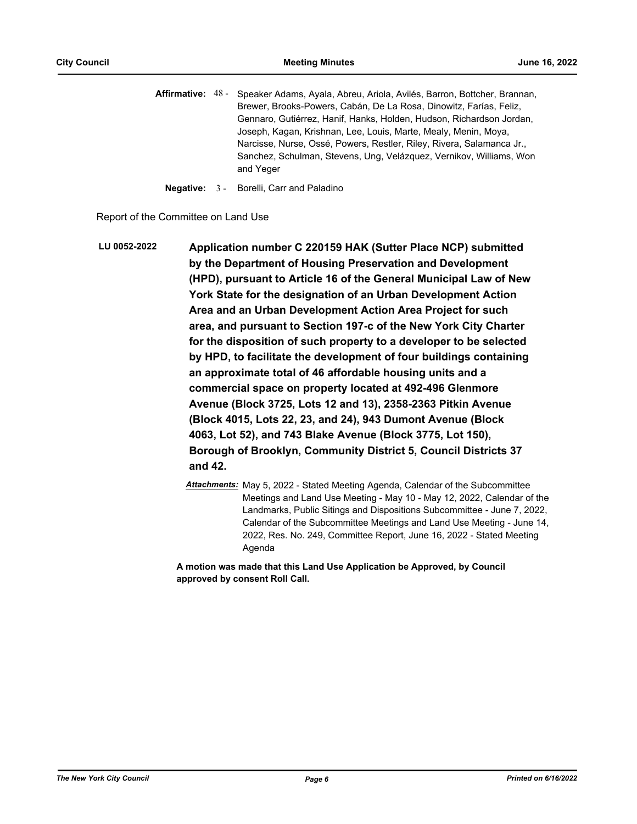Affirmative: 48 - Speaker Adams, Ayala, Abreu, Ariola, Avilés, Barron, Bottcher, Brannan, Brewer, Brooks-Powers, Cabán, De La Rosa, Dinowitz, Farías, Feliz, Gennaro, Gutiérrez, Hanif, Hanks, Holden, Hudson, Richardson Jordan, Joseph, Kagan, Krishnan, Lee, Louis, Marte, Mealy, Menin, Moya, Narcisse, Nurse, Ossé, Powers, Restler, Riley, Rivera, Salamanca Jr., Sanchez, Schulman, Stevens, Ung, Velázquez, Vernikov, Williams, Won and Yeger

**Negative:** 3 - Borelli, Carr and Paladino

Report of the Committee on Land Use

**Application number C 220159 HAK (Sutter Place NCP) submitted by the Department of Housing Preservation and Development (HPD), pursuant to Article 16 of the General Municipal Law of New York State for the designation of an Urban Development Action Area and an Urban Development Action Area Project for such area, and pursuant to Section 197-c of the New York City Charter for the disposition of such property to a developer to be selected by HPD, to facilitate the development of four buildings containing an approximate total of 46 affordable housing units and a commercial space on property located at 492-496 Glenmore Avenue (Block 3725, Lots 12 and 13), 2358-2363 Pitkin Avenue (Block 4015, Lots 22, 23, and 24), 943 Dumont Avenue (Block 4063, Lot 52), and 743 Blake Avenue (Block 3775, Lot 150), Borough of Brooklyn, Community District 5, Council Districts 37 and 42. LU 0052-2022**

> *Attachments:* May 5, 2022 - Stated Meeting Agenda, Calendar of the Subcommittee Meetings and Land Use Meeting - May 10 - May 12, 2022, Calendar of the Landmarks, Public Sitings and Dispositions Subcommittee - June 7, 2022, Calendar of the Subcommittee Meetings and Land Use Meeting - June 14, 2022, Res. No. 249, Committee Report, June 16, 2022 - Stated Meeting Agenda

**A motion was made that this Land Use Application be Approved, by Council approved by consent Roll Call.**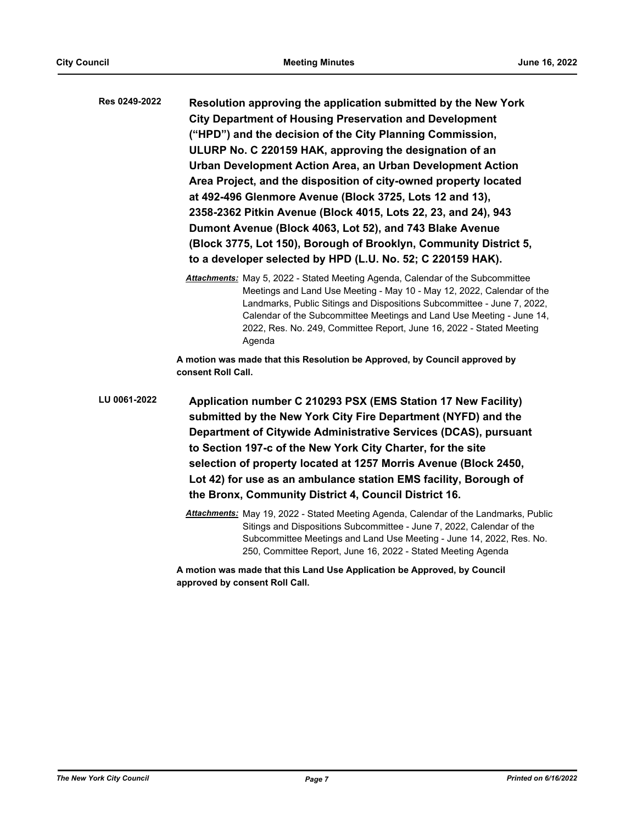| Res 0249-2022 | Resolution approving the application submitted by the New York    |
|---------------|-------------------------------------------------------------------|
|               | <b>City Department of Housing Preservation and Development</b>    |
|               | ("HPD") and the decision of the City Planning Commission,         |
|               | ULURP No. C 220159 HAK, approving the designation of an           |
|               | Urban Development Action Area, an Urban Development Action        |
|               | Area Project, and the disposition of city-owned property located  |
|               | at 492-496 Glenmore Avenue (Block 3725, Lots 12 and 13),          |
|               | 2358-2362 Pitkin Avenue (Block 4015, Lots 22, 23, and 24), 943    |
|               | Dumont Avenue (Block 4063, Lot 52), and 743 Blake Avenue          |
|               | (Block 3775, Lot 150), Borough of Brooklyn, Community District 5, |
|               | to a developer selected by HPD (L.U. No. 52; C 220159 HAK).       |
|               |                                                                   |

*Attachments:* May 5, 2022 - Stated Meeting Agenda, Calendar of the Subcommittee Meetings and Land Use Meeting - May 10 - May 12, 2022, Calendar of the Landmarks, Public Sitings and Dispositions Subcommittee - June 7, 2022, Calendar of the Subcommittee Meetings and Land Use Meeting - June 14, 2022, Res. No. 249, Committee Report, June 16, 2022 - Stated Meeting Agenda

**A motion was made that this Resolution be Approved, by Council approved by consent Roll Call.**

**Application number C 210293 PSX (EMS Station 17 New Facility) submitted by the New York City Fire Department (NYFD) and the Department of Citywide Administrative Services (DCAS), pursuant to Section 197-c of the New York City Charter, for the site selection of property located at 1257 Morris Avenue (Block 2450, Lot 42) for use as an ambulance station EMS facility, Borough of the Bronx, Community District 4, Council District 16. LU 0061-2022**

> *Attachments:* May 19, 2022 - Stated Meeting Agenda, Calendar of the Landmarks, Public Sitings and Dispositions Subcommittee - June 7, 2022, Calendar of the Subcommittee Meetings and Land Use Meeting - June 14, 2022, Res. No. 250, Committee Report, June 16, 2022 - Stated Meeting Agenda

**A motion was made that this Land Use Application be Approved, by Council approved by consent Roll Call.**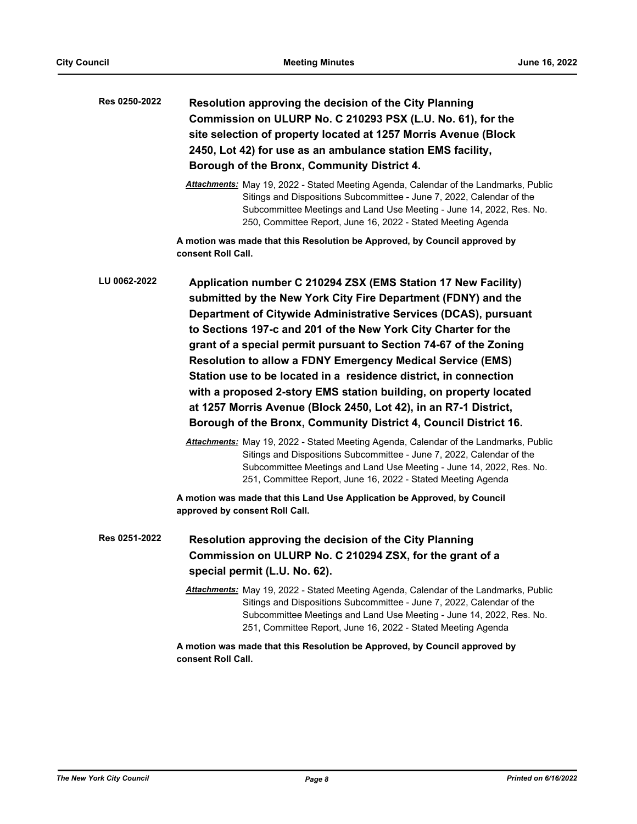| Res 0250-2022 | Resolution approving the decision of the City Planning<br>Commission on ULURP No. C 210293 PSX (L.U. No. 61), for the<br>site selection of property located at 1257 Morris Avenue (Block<br>2450, Lot 42) for use as an ambulance station EMS facility,<br>Borough of the Bronx, Community District 4.                                                                                                                                                                                                                                                                                                                                                                                                                                                                                                                                                                                                                                                                                                  |
|---------------|---------------------------------------------------------------------------------------------------------------------------------------------------------------------------------------------------------------------------------------------------------------------------------------------------------------------------------------------------------------------------------------------------------------------------------------------------------------------------------------------------------------------------------------------------------------------------------------------------------------------------------------------------------------------------------------------------------------------------------------------------------------------------------------------------------------------------------------------------------------------------------------------------------------------------------------------------------------------------------------------------------|
|               | Attachments: May 19, 2022 - Stated Meeting Agenda, Calendar of the Landmarks, Public<br>Sitings and Dispositions Subcommittee - June 7, 2022, Calendar of the<br>Subcommittee Meetings and Land Use Meeting - June 14, 2022, Res. No.<br>250, Committee Report, June 16, 2022 - Stated Meeting Agenda                                                                                                                                                                                                                                                                                                                                                                                                                                                                                                                                                                                                                                                                                                   |
|               | A motion was made that this Resolution be Approved, by Council approved by<br>consent Roll Call.                                                                                                                                                                                                                                                                                                                                                                                                                                                                                                                                                                                                                                                                                                                                                                                                                                                                                                        |
| LU 0062-2022  | Application number C 210294 ZSX (EMS Station 17 New Facility)<br>submitted by the New York City Fire Department (FDNY) and the<br>Department of Citywide Administrative Services (DCAS), pursuant<br>to Sections 197-c and 201 of the New York City Charter for the<br>grant of a special permit pursuant to Section 74-67 of the Zoning<br><b>Resolution to allow a FDNY Emergency Medical Service (EMS)</b><br>Station use to be located in a residence district, in connection<br>with a proposed 2-story EMS station building, on property located<br>at 1257 Morris Avenue (Block 2450, Lot 42), in an R7-1 District,<br>Borough of the Bronx, Community District 4, Council District 16.<br>Attachments: May 19, 2022 - Stated Meeting Agenda, Calendar of the Landmarks, Public<br>Sitings and Dispositions Subcommittee - June 7, 2022, Calendar of the<br>Subcommittee Meetings and Land Use Meeting - June 14, 2022, Res. No.<br>251, Committee Report, June 16, 2022 - Stated Meeting Agenda |
|               | A motion was made that this Land Use Application be Approved, by Council<br>approved by consent Roll Call.                                                                                                                                                                                                                                                                                                                                                                                                                                                                                                                                                                                                                                                                                                                                                                                                                                                                                              |
| Res 0251-2022 | <b>Resolution approving the decision of the City Planning</b><br>Commission on ULURP No. C 210294 ZSX, for the grant of a<br>special permit (L.U. No. 62).                                                                                                                                                                                                                                                                                                                                                                                                                                                                                                                                                                                                                                                                                                                                                                                                                                              |
|               | Attachments: May 19, 2022 - Stated Meeting Agenda, Calendar of the Landmarks, Public<br>Sitings and Dispositions Subcommittee - June 7, 2022, Calendar of the<br>Subcommittee Meetings and Land Use Meeting - June 14, 2022, Res. No.<br>251, Committee Report, June 16, 2022 - Stated Meeting Agenda                                                                                                                                                                                                                                                                                                                                                                                                                                                                                                                                                                                                                                                                                                   |
|               | A motion was made that this Resolution be Approved, by Council approved by<br>consent Roll Call.                                                                                                                                                                                                                                                                                                                                                                                                                                                                                                                                                                                                                                                                                                                                                                                                                                                                                                        |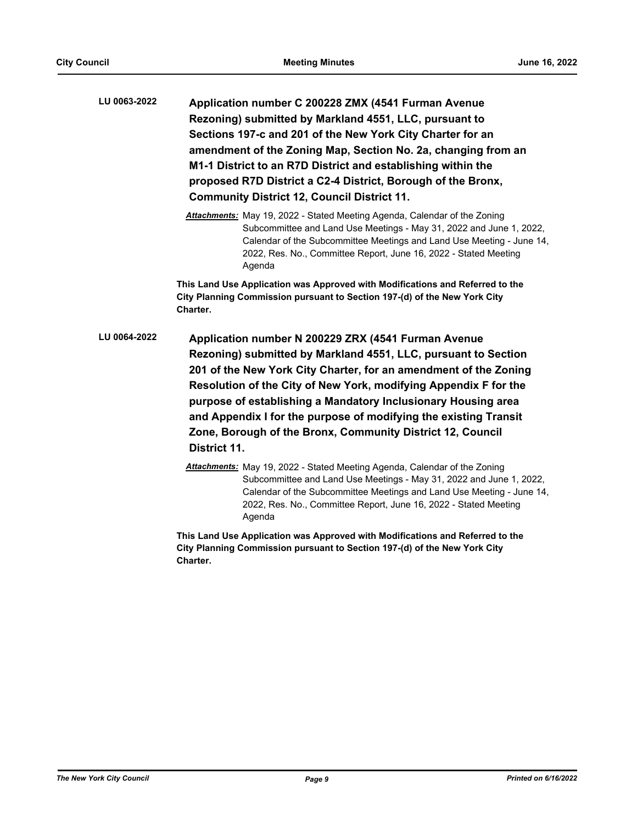- **Application number C 200228 ZMX (4541 Furman Avenue Rezoning) submitted by Markland 4551, LLC, pursuant to Sections 197-c and 201 of the New York City Charter for an amendment of the Zoning Map, Section No. 2a, changing from an M1-1 District to an R7D District and establishing within the proposed R7D District a C2-4 District, Borough of the Bronx, Community District 12, Council District 11. LU 0063-2022**
	- *Attachments:* May 19, 2022 Stated Meeting Agenda, Calendar of the Zoning Subcommittee and Land Use Meetings - May 31, 2022 and June 1, 2022, Calendar of the Subcommittee Meetings and Land Use Meeting - June 14, 2022, Res. No., Committee Report, June 16, 2022 - Stated Meeting Agenda

**This Land Use Application was Approved with Modifications and Referred to the City Planning Commission pursuant to Section 197-(d) of the New York City Charter.**

- **Application number N 200229 ZRX (4541 Furman Avenue Rezoning) submitted by Markland 4551, LLC, pursuant to Section 201 of the New York City Charter, for an amendment of the Zoning Resolution of the City of New York, modifying Appendix F for the purpose of establishing a Mandatory Inclusionary Housing area and Appendix I for the purpose of modifying the existing Transit Zone, Borough of the Bronx, Community District 12, Council District 11. LU 0064-2022**
	- *Attachments:* May 19, 2022 Stated Meeting Agenda, Calendar of the Zoning Subcommittee and Land Use Meetings - May 31, 2022 and June 1, 2022, Calendar of the Subcommittee Meetings and Land Use Meeting - June 14, 2022, Res. No., Committee Report, June 16, 2022 - Stated Meeting Agenda

**This Land Use Application was Approved with Modifications and Referred to the City Planning Commission pursuant to Section 197-(d) of the New York City Charter.**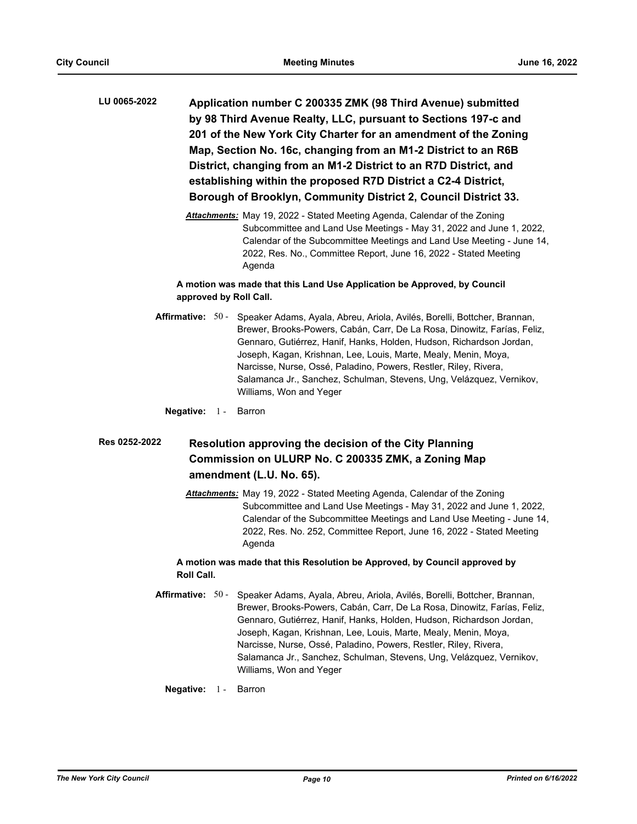**Application number C 200335 ZMK (98 Third Avenue) submitted by 98 Third Avenue Realty, LLC, pursuant to Sections 197-c and 201 of the New York City Charter for an amendment of the Zoning Map, Section No. 16c, changing from an M1-2 District to an R6B District, changing from an M1-2 District to an R7D District, and establishing within the proposed R7D District a C2-4 District, Borough of Brooklyn, Community District 2, Council District 33. LU 0065-2022**

> *Attachments:* May 19, 2022 - Stated Meeting Agenda, Calendar of the Zoning Subcommittee and Land Use Meetings - May 31, 2022 and June 1, 2022, Calendar of the Subcommittee Meetings and Land Use Meeting - June 14, 2022, Res. No., Committee Report, June 16, 2022 - Stated Meeting Agenda

# **A motion was made that this Land Use Application be Approved, by Council approved by Roll Call.**

Affirmative: 50 - Speaker Adams, Ayala, Abreu, Ariola, Avilés, Borelli, Bottcher, Brannan, Brewer, Brooks-Powers, Cabán, Carr, De La Rosa, Dinowitz, Farías, Feliz, Gennaro, Gutiérrez, Hanif, Hanks, Holden, Hudson, Richardson Jordan, Joseph, Kagan, Krishnan, Lee, Louis, Marte, Mealy, Menin, Moya, Narcisse, Nurse, Ossé, Paladino, Powers, Restler, Riley, Rivera, Salamanca Jr., Sanchez, Schulman, Stevens, Ung, Velázquez, Vernikov, Williams, Won and Yeger

### **Negative:** 1 - Barron

#### **Resolution approving the decision of the City Planning Commission on ULURP No. C 200335 ZMK, a Zoning Map amendment (L.U. No. 65). Res 0252-2022**

*Attachments:* May 19, 2022 - Stated Meeting Agenda, Calendar of the Zoning Subcommittee and Land Use Meetings - May 31, 2022 and June 1, 2022, Calendar of the Subcommittee Meetings and Land Use Meeting - June 14, 2022, Res. No. 252, Committee Report, June 16, 2022 - Stated Meeting Agenda

## **A motion was made that this Resolution be Approved, by Council approved by Roll Call.**

- Affirmative: 50 Speaker Adams, Ayala, Abreu, Ariola, Avilés, Borelli, Bottcher, Brannan, Brewer, Brooks-Powers, Cabán, Carr, De La Rosa, Dinowitz, Farías, Feliz, Gennaro, Gutiérrez, Hanif, Hanks, Holden, Hudson, Richardson Jordan, Joseph, Kagan, Krishnan, Lee, Louis, Marte, Mealy, Menin, Moya, Narcisse, Nurse, Ossé, Paladino, Powers, Restler, Riley, Rivera, Salamanca Jr., Sanchez, Schulman, Stevens, Ung, Velázquez, Vernikov, Williams, Won and Yeger
	- **Negative:** 1 Barron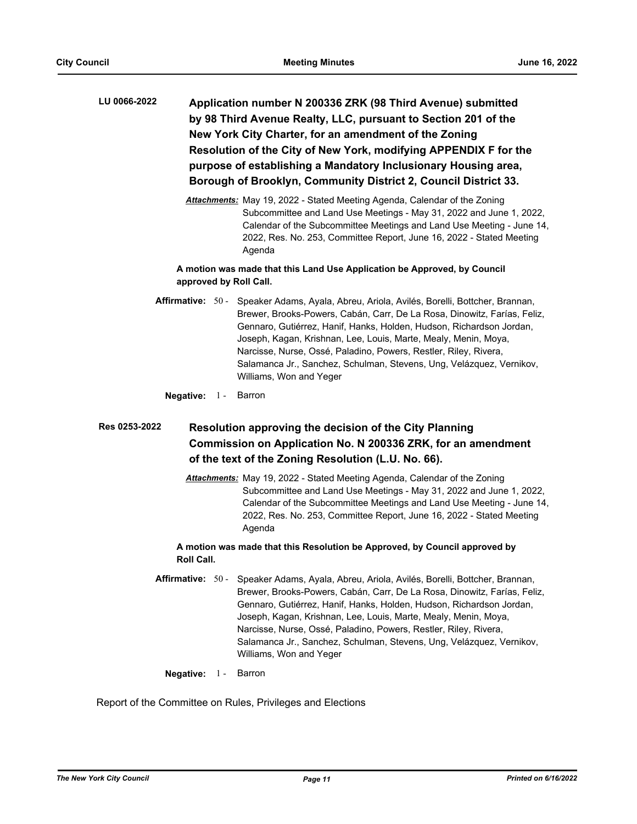**Application number N 200336 ZRK (98 Third Avenue) submitted by 98 Third Avenue Realty, LLC, pursuant to Section 201 of the New York City Charter, for an amendment of the Zoning Resolution of the City of New York, modifying APPENDIX F for the purpose of establishing a Mandatory Inclusionary Housing area, Borough of Brooklyn, Community District 2, Council District 33. LU 0066-2022**

> *Attachments:* May 19, 2022 - Stated Meeting Agenda, Calendar of the Zoning Subcommittee and Land Use Meetings - May 31, 2022 and June 1, 2022, Calendar of the Subcommittee Meetings and Land Use Meeting - June 14, 2022, Res. No. 253, Committee Report, June 16, 2022 - Stated Meeting Agenda

# **A motion was made that this Land Use Application be Approved, by Council approved by Roll Call.**

Affirmative: 50 - Speaker Adams, Ayala, Abreu, Ariola, Avilés, Borelli, Bottcher, Brannan, Brewer, Brooks-Powers, Cabán, Carr, De La Rosa, Dinowitz, Farías, Feliz, Gennaro, Gutiérrez, Hanif, Hanks, Holden, Hudson, Richardson Jordan, Joseph, Kagan, Krishnan, Lee, Louis, Marte, Mealy, Menin, Moya, Narcisse, Nurse, Ossé, Paladino, Powers, Restler, Riley, Rivera, Salamanca Jr., Sanchez, Schulman, Stevens, Ung, Velázquez, Vernikov, Williams, Won and Yeger

**Negative:** 1 - Barron

#### **Resolution approving the decision of the City Planning Commission on Application No. N 200336 ZRK, for an amendment of the text of the Zoning Resolution (L.U. No. 66). Res 0253-2022**

*Attachments:* May 19, 2022 - Stated Meeting Agenda, Calendar of the Zoning Subcommittee and Land Use Meetings - May 31, 2022 and June 1, 2022, Calendar of the Subcommittee Meetings and Land Use Meeting - June 14, 2022, Res. No. 253, Committee Report, June 16, 2022 - Stated Meeting Agenda

## **A motion was made that this Resolution be Approved, by Council approved by Roll Call.**

Affirmative: 50 - Speaker Adams, Ayala, Abreu, Ariola, Avilés, Borelli, Bottcher, Brannan, Brewer, Brooks-Powers, Cabán, Carr, De La Rosa, Dinowitz, Farías, Feliz, Gennaro, Gutiérrez, Hanif, Hanks, Holden, Hudson, Richardson Jordan, Joseph, Kagan, Krishnan, Lee, Louis, Marte, Mealy, Menin, Moya, Narcisse, Nurse, Ossé, Paladino, Powers, Restler, Riley, Rivera, Salamanca Jr., Sanchez, Schulman, Stevens, Ung, Velázquez, Vernikov, Williams, Won and Yeger

**Negative:** 1 - Barron

Report of the Committee on Rules, Privileges and Elections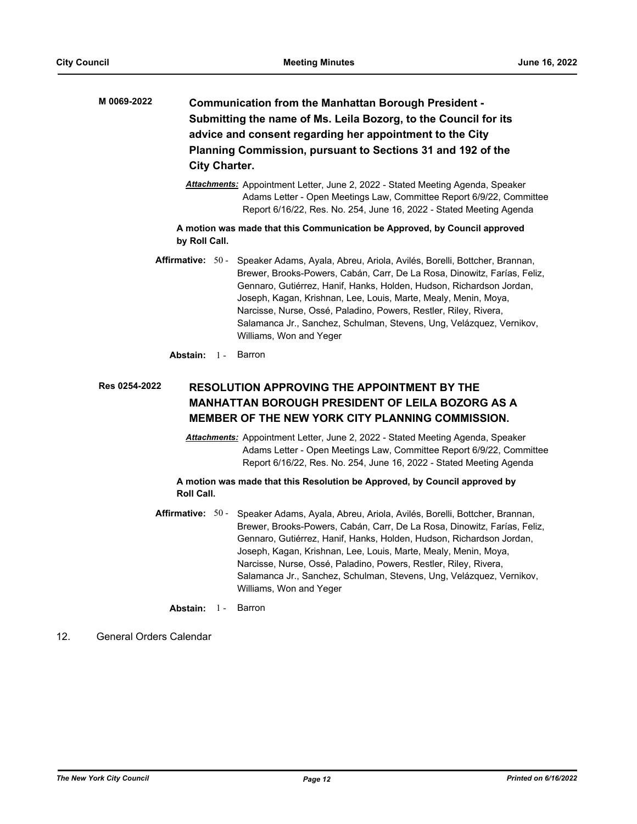- **Communication from the Manhattan Borough President Submitting the name of Ms. Leila Bozorg, to the Council for its advice and consent regarding her appointment to the City Planning Commission, pursuant to Sections 31 and 192 of the City Charter. M 0069-2022**
	- *Attachments:* Appointment Letter, June 2, 2022 Stated Meeting Agenda, Speaker Adams Letter - Open Meetings Law, Committee Report 6/9/22, Committee Report 6/16/22, Res. No. 254, June 16, 2022 - Stated Meeting Agenda

**A motion was made that this Communication be Approved, by Council approved by Roll Call.**

- **Affirmative:** Speaker Adams, Ayala, Abreu, Ariola, Avilés, Borelli, Bottcher, Brannan, Brewer, Brooks-Powers, Cabán, Carr, De La Rosa, Dinowitz, Farías, Feliz, Gennaro, Gutiérrez, Hanif, Hanks, Holden, Hudson, Richardson Jordan, Joseph, Kagan, Krishnan, Lee, Louis, Marte, Mealy, Menin, Moya, Narcisse, Nurse, Ossé, Paladino, Powers, Restler, Riley, Rivera, Salamanca Jr., Sanchez, Schulman, Stevens, Ung, Velázquez, Vernikov, Williams, Won and Yeger Affirmative: 50 -
	- **Abstain:** 1 Barron

#### **RESOLUTION APPROVING THE APPOINTMENT BY THE MANHATTAN BOROUGH PRESIDENT OF LEILA BOZORG AS A MEMBER OF THE NEW YORK CITY PLANNING COMMISSION. Res 0254-2022**

*Attachments:* Appointment Letter, June 2, 2022 - Stated Meeting Agenda, Speaker Adams Letter - Open Meetings Law, Committee Report 6/9/22, Committee Report 6/16/22, Res. No. 254, June 16, 2022 - Stated Meeting Agenda

## **A motion was made that this Resolution be Approved, by Council approved by Roll Call.**

Affirmative: 50 - Speaker Adams, Ayala, Abreu, Ariola, Avilés, Borelli, Bottcher, Brannan, Brewer, Brooks-Powers, Cabán, Carr, De La Rosa, Dinowitz, Farías, Feliz, Gennaro, Gutiérrez, Hanif, Hanks, Holden, Hudson, Richardson Jordan, Joseph, Kagan, Krishnan, Lee, Louis, Marte, Mealy, Menin, Moya, Narcisse, Nurse, Ossé, Paladino, Powers, Restler, Riley, Rivera, Salamanca Jr., Sanchez, Schulman, Stevens, Ung, Velázquez, Vernikov, Williams, Won and Yeger

**Abstain:** 1 - Barron

# 12. General Orders Calendar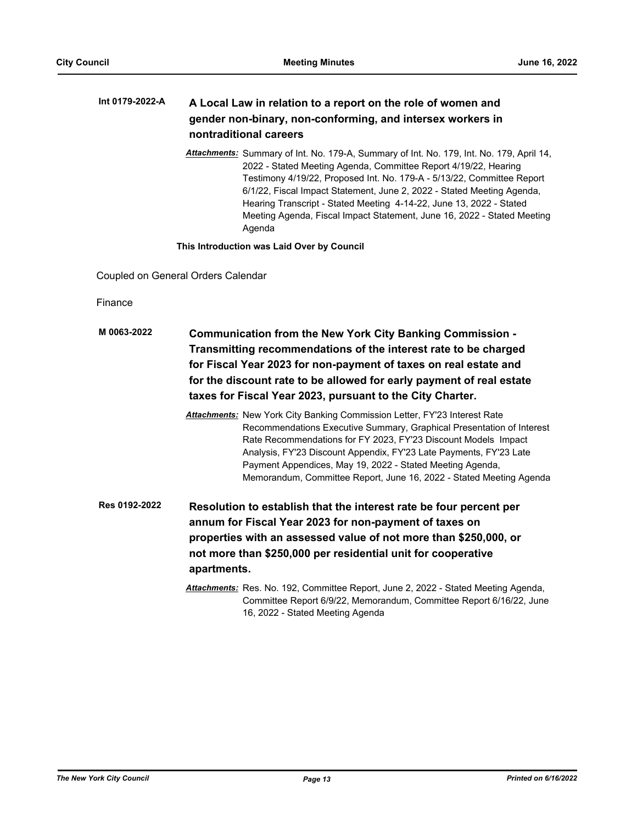#### **A Local Law in relation to a report on the role of women and gender non-binary, non-conforming, and intersex workers in nontraditional careers Int 0179-2022-A**

*Attachments:* Summary of Int. No. 179-A, Summary of Int. No. 179, Int. No. 179, April 14, 2022 - Stated Meeting Agenda, Committee Report 4/19/22, Hearing Testimony 4/19/22, Proposed Int. No. 179-A - 5/13/22, Committee Report 6/1/22, Fiscal Impact Statement, June 2, 2022 - Stated Meeting Agenda, Hearing Transcript - Stated Meeting 4-14-22, June 13, 2022 - Stated Meeting Agenda, Fiscal Impact Statement, June 16, 2022 - Stated Meeting Agenda

**This Introduction was Laid Over by Council**

Coupled on General Orders Calendar

Finance

- **Communication from the New York City Banking Commission Transmitting recommendations of the interest rate to be charged for Fiscal Year 2023 for non-payment of taxes on real estate and for the discount rate to be allowed for early payment of real estate taxes for Fiscal Year 2023, pursuant to the City Charter. M 0063-2022** *Attachments:* New York City Banking Commission Letter, FY'23 Interest Rate Recommendations Executive Summary, Graphical Presentation of Interest Rate Recommendations for FY 2023, FY'23 Discount Models Impact Analysis, FY'23 Discount Appendix, FY'23 Late Payments, FY'23 Late Payment Appendices, May 19, 2022 - Stated Meeting Agenda, Memorandum, Committee Report, June 16, 2022 - Stated Meeting Agenda **Resolution to establish that the interest rate be four percent per Res 0192-2022**
	- **annum for Fiscal Year 2023 for non-payment of taxes on properties with an assessed value of not more than \$250,000, or not more than \$250,000 per residential unit for cooperative apartments.**
		- *Attachments:* Res. No. 192, Committee Report, June 2, 2022 Stated Meeting Agenda, Committee Report 6/9/22, Memorandum, Committee Report 6/16/22, June 16, 2022 - Stated Meeting Agenda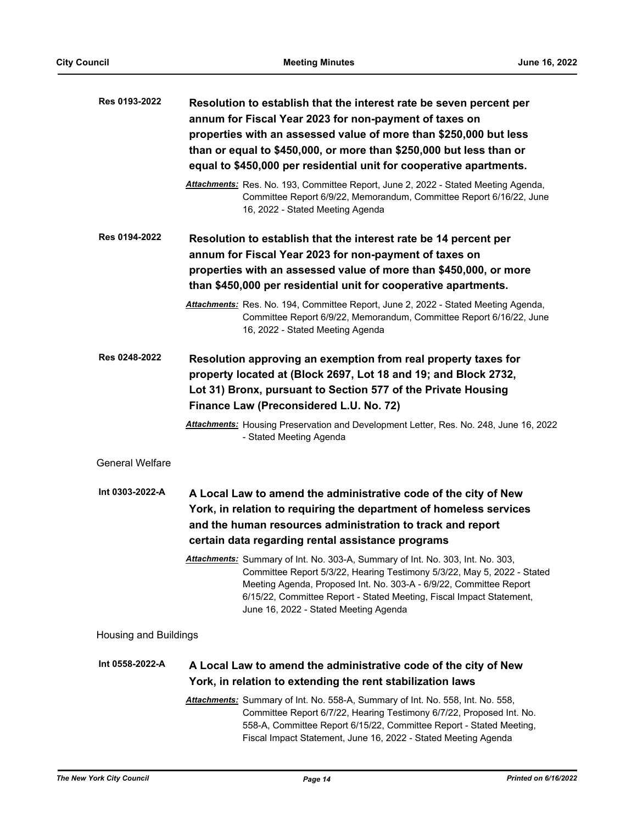| Res 0193-2022                | Resolution to establish that the interest rate be seven percent per<br>annum for Fiscal Year 2023 for non-payment of taxes on<br>properties with an assessed value of more than \$250,000 but less<br>than or equal to \$450,000, or more than \$250,000 but less than or<br>equal to \$450,000 per residential unit for cooperative apartments. |
|------------------------------|--------------------------------------------------------------------------------------------------------------------------------------------------------------------------------------------------------------------------------------------------------------------------------------------------------------------------------------------------|
|                              | Attachments: Res. No. 193, Committee Report, June 2, 2022 - Stated Meeting Agenda,<br>Committee Report 6/9/22, Memorandum, Committee Report 6/16/22, June<br>16, 2022 - Stated Meeting Agenda                                                                                                                                                    |
| Res 0194-2022                | Resolution to establish that the interest rate be 14 percent per<br>annum for Fiscal Year 2023 for non-payment of taxes on                                                                                                                                                                                                                       |
|                              | properties with an assessed value of more than \$450,000, or more<br>than \$450,000 per residential unit for cooperative apartments.                                                                                                                                                                                                             |
|                              | Attachments: Res. No. 194, Committee Report, June 2, 2022 - Stated Meeting Agenda,<br>Committee Report 6/9/22, Memorandum, Committee Report 6/16/22, June<br>16, 2022 - Stated Meeting Agenda                                                                                                                                                    |
| Res 0248-2022                | Resolution approving an exemption from real property taxes for<br>property located at (Block 2697, Lot 18 and 19; and Block 2732,<br>Lot 31) Bronx, pursuant to Section 577 of the Private Housing<br>Finance Law (Preconsidered L.U. No. 72)                                                                                                    |
|                              | Attachments: Housing Preservation and Development Letter, Res. No. 248, June 16, 2022<br>- Stated Meeting Agenda                                                                                                                                                                                                                                 |
| <b>General Welfare</b>       |                                                                                                                                                                                                                                                                                                                                                  |
| Int 0303-2022-A              | A Local Law to amend the administrative code of the city of New<br>York, in relation to requiring the department of homeless services<br>and the human resources administration to track and report<br>certain data regarding rental assistance programs                                                                                         |
|                              | Attachments: Summary of Int. No. 303-A, Summary of Int. No. 303, Int. No. 303,<br>Committee Report 5/3/22, Hearing Testimony 5/3/22, May 5, 2022 - Stated<br>Meeting Agenda, Proposed Int. No. 303-A - 6/9/22, Committee Report<br>6/15/22, Committee Report - Stated Meeting, Fiscal Impact Statement,<br>June 16, 2022 - Stated Meeting Agenda |
| <b>Housing and Buildings</b> |                                                                                                                                                                                                                                                                                                                                                  |
| Int 0558-2022-A              | A Local Law to amend the administrative code of the city of New<br>York, in relation to extending the rent stabilization laws                                                                                                                                                                                                                    |
|                              | Attachments: Summary of Int. No. 558-A, Summary of Int. No. 558, Int. No. 558,<br>Committee Report 6/7/22, Hearing Testimony 6/7/22, Proposed Int. No.<br>558-A, Committee Report 6/15/22, Committee Report - Stated Meeting,<br>Fiscal Impact Statement, June 16, 2022 - Stated Meeting Agenda                                                  |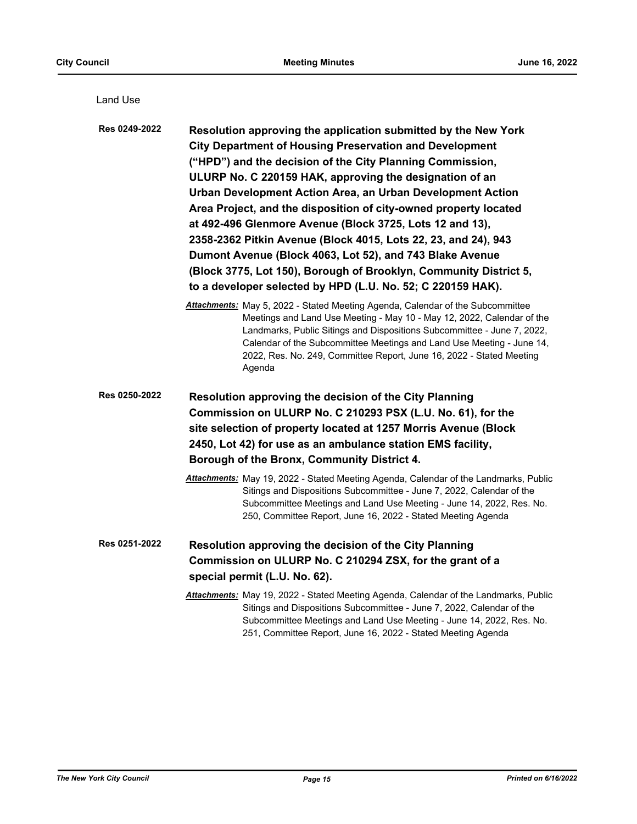| Land Use      |                                                                                                                                                                                                                                                                                                                                                                                                                                                                                                                                                                                                                                                                                                                          |
|---------------|--------------------------------------------------------------------------------------------------------------------------------------------------------------------------------------------------------------------------------------------------------------------------------------------------------------------------------------------------------------------------------------------------------------------------------------------------------------------------------------------------------------------------------------------------------------------------------------------------------------------------------------------------------------------------------------------------------------------------|
| Res 0249-2022 | Resolution approving the application submitted by the New York<br><b>City Department of Housing Preservation and Development</b><br>("HPD") and the decision of the City Planning Commission,<br>ULURP No. C 220159 HAK, approving the designation of an<br>Urban Development Action Area, an Urban Development Action<br>Area Project, and the disposition of city-owned property located<br>at 492-496 Glenmore Avenue (Block 3725, Lots 12 and 13),<br>2358-2362 Pitkin Avenue (Block 4015, Lots 22, 23, and 24), 943<br>Dumont Avenue (Block 4063, Lot 52), and 743 Blake Avenue<br>(Block 3775, Lot 150), Borough of Brooklyn, Community District 5,<br>to a developer selected by HPD (L.U. No. 52; C 220159 HAK). |
|               | <b>Attachments:</b> May 5, 2022 - Stated Meeting Agenda, Calendar of the Subcommittee<br>Meetings and Land Use Meeting - May 10 - May 12, 2022, Calendar of the<br>Landmarks, Public Sitings and Dispositions Subcommittee - June 7, 2022,<br>Calendar of the Subcommittee Meetings and Land Use Meeting - June 14,<br>2022, Res. No. 249, Committee Report, June 16, 2022 - Stated Meeting<br>Agenda                                                                                                                                                                                                                                                                                                                    |
| Res 0250-2022 | Resolution approving the decision of the City Planning<br>Commission on ULURP No. C 210293 PSX (L.U. No. 61), for the<br>site selection of property located at 1257 Morris Avenue (Block<br>2450, Lot 42) for use as an ambulance station EMS facility,<br>Borough of the Bronx, Community District 4.<br>Attachments: May 19, 2022 - Stated Meeting Agenda, Calendar of the Landmarks, Public<br>Sitings and Dispositions Subcommittee - June 7, 2022, Calendar of the<br>Subcommittee Meetings and Land Use Meeting - June 14, 2022, Res. No.<br>250, Committee Report, June 16, 2022 - Stated Meeting Agenda                                                                                                          |
| Res 0251-2022 | Resolution approving the decision of the City Planning<br>Commission on ULURP No. C 210294 ZSX, for the grant of a<br>special permit (L.U. No. 62).<br>Attachments: May 19, 2022 - Stated Meeting Agenda, Calendar of the Landmarks, Public<br>Sitings and Dispositions Subcommittee - June 7, 2022, Calendar of the<br>Subcommittee Meetings and Land Use Meeting - June 14, 2022, Res. No.<br>251, Committee Report, June 16, 2022 - Stated Meeting Agenda                                                                                                                                                                                                                                                             |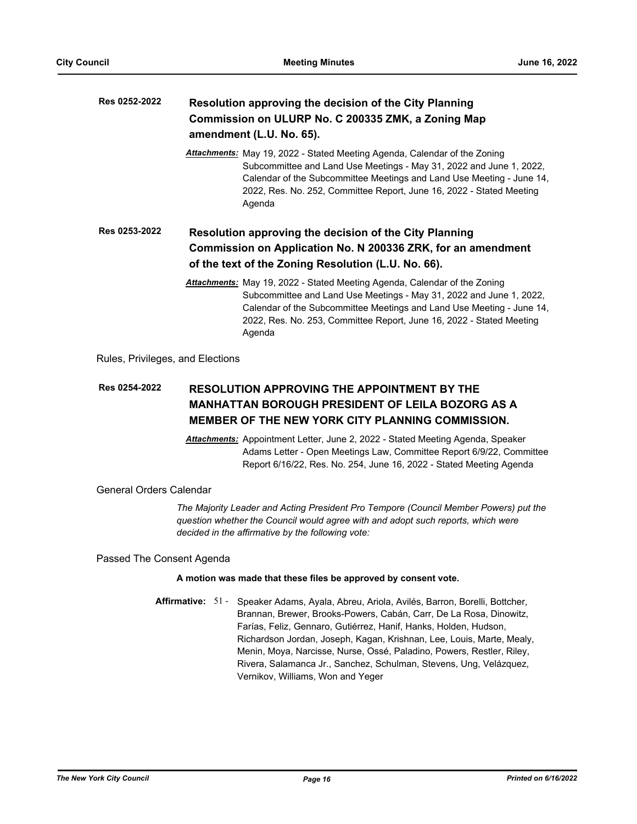| Res 0252-2022 | Resolution approving the decision of the City Planning<br>Commission on ULURP No. C 200335 ZMK, a Zoning Map<br>amendment (L.U. No. 65).                                                                                                                                                                           |  |  |
|---------------|--------------------------------------------------------------------------------------------------------------------------------------------------------------------------------------------------------------------------------------------------------------------------------------------------------------------|--|--|
|               | <b>Attachments:</b> May 19, 2022 - Stated Meeting Agenda, Calendar of the Zoning<br>Subcommittee and Land Use Meetings - May 31, 2022 and June 1, 2022,<br>Calendar of the Subcommittee Meetings and Land Use Meeting - June 14,<br>2022, Res. No. 252, Committee Report, June 16, 2022 - Stated Meeting<br>Agenda |  |  |
| Res 0253-2022 | Resolution approving the decision of the City Planning<br>Commission on Application No. N 200336 ZRK, for an amendment<br>of the text of the Zoning Resolution (L.U. No. 66).                                                                                                                                      |  |  |
|               | <b>Attachments:</b> May 19, 2022 - Stated Meeting Agenda, Calendar of the Zoning<br>Subcommittee and Land Use Meetings - May 31, 2022 and June 1, 2022,<br>Calendar of the Subcommittee Meetings and Land Use Meeting - June 14,<br>2022, Res. No. 253, Committee Report, June 16, 2022 - Stated Meeting<br>Agenda |  |  |

Rules, Privileges, and Elections

### **RESOLUTION APPROVING THE APPOINTMENT BY THE MANHATTAN BOROUGH PRESIDENT OF LEILA BOZORG AS A MEMBER OF THE NEW YORK CITY PLANNING COMMISSION. Res 0254-2022**

*Attachments:* Appointment Letter, June 2, 2022 - Stated Meeting Agenda, Speaker Adams Letter - Open Meetings Law, Committee Report 6/9/22, Committee Report 6/16/22, Res. No. 254, June 16, 2022 - Stated Meeting Agenda

General Orders Calendar

*The Majority Leader and Acting President Pro Tempore (Council Member Powers) put the question whether the Council would agree with and adopt such reports, which were decided in the affirmative by the following vote:*

Passed The Consent Agenda

### **A motion was made that these files be approved by consent vote.**

Affirmative: 51 - Speaker Adams, Ayala, Abreu, Ariola, Avilés, Barron, Borelli, Bottcher, Brannan, Brewer, Brooks-Powers, Cabán, Carr, De La Rosa, Dinowitz, Farías, Feliz, Gennaro, Gutiérrez, Hanif, Hanks, Holden, Hudson, Richardson Jordan, Joseph, Kagan, Krishnan, Lee, Louis, Marte, Mealy, Menin, Moya, Narcisse, Nurse, Ossé, Paladino, Powers, Restler, Riley, Rivera, Salamanca Jr., Sanchez, Schulman, Stevens, Ung, Velázquez, Vernikov, Williams, Won and Yeger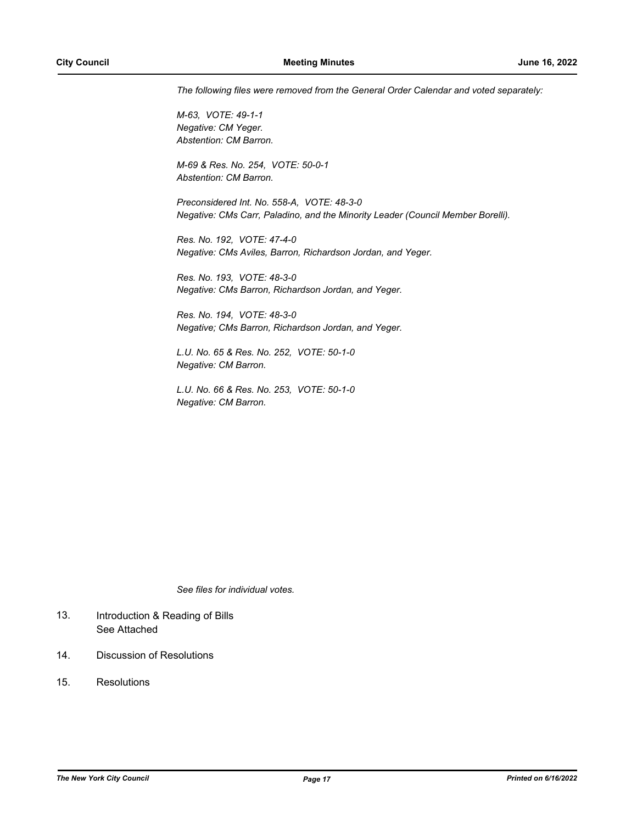*The following files were removed from the General Order Calendar and voted separately:*

*M-63, VOTE: 49-1-1 Negative: CM Yeger. Abstention: CM Barron.*

*M-69 & Res. No. 254, VOTE: 50-0-1 Abstention: CM Barron.*

*Preconsidered Int. No. 558-A, VOTE: 48-3-0 Negative: CMs Carr, Paladino, and the Minority Leader (Council Member Borelli).*

*Res. No. 192, VOTE: 47-4-0 Negative: CMs Aviles, Barron, Richardson Jordan, and Yeger.*

*Res. No. 193, VOTE: 48-3-0 Negative: CMs Barron, Richardson Jordan, and Yeger.*

*Res. No. 194, VOTE: 48-3-0 Negative; CMs Barron, Richardson Jordan, and Yeger.*

*L.U. No. 65 & Res. No. 252, VOTE: 50-1-0 Negative: CM Barron.*

*L.U. No. 66 & Res. No. 253, VOTE: 50-1-0 Negative: CM Barron.*

*See files for individual votes.*

- Introduction & Reading of Bills See Attached 13.
- 14. Discussion of Resolutions
- 15. Resolutions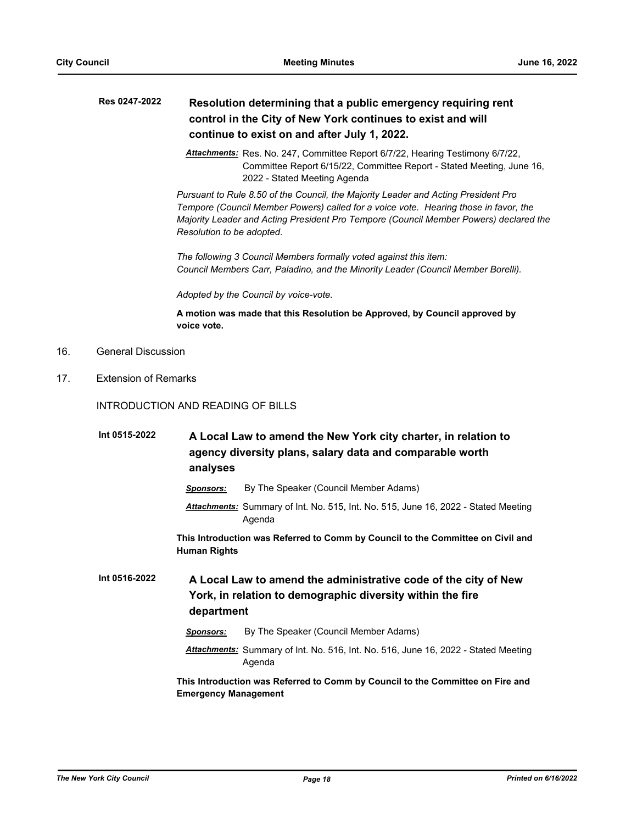$16.$ 

 $17.$ 

| Res 0247-2022               | Resolution determining that a public emergency requiring rent<br>control in the City of New York continues to exist and will<br>continue to exist on and after July 1, 2022.                                                                                                                     |
|-----------------------------|--------------------------------------------------------------------------------------------------------------------------------------------------------------------------------------------------------------------------------------------------------------------------------------------------|
|                             | Attachments: Res. No. 247, Committee Report 6/7/22, Hearing Testimony 6/7/22,<br>Committee Report 6/15/22, Committee Report - Stated Meeting, June 16,<br>2022 - Stated Meeting Agenda                                                                                                           |
|                             | Pursuant to Rule 8.50 of the Council, the Majority Leader and Acting President Pro<br>Tempore (Council Member Powers) called for a voice vote. Hearing those in favor, the<br>Majority Leader and Acting President Pro Tempore (Council Member Powers) declared the<br>Resolution to be adopted. |
|                             | The following 3 Council Members formally voted against this item:<br>Council Members Carr, Paladino, and the Minority Leader (Council Member Borelli).                                                                                                                                           |
|                             | Adopted by the Council by voice-vote.                                                                                                                                                                                                                                                            |
|                             | A motion was made that this Resolution be Approved, by Council approved by<br>voice vote.                                                                                                                                                                                                        |
| <b>General Discussion</b>   |                                                                                                                                                                                                                                                                                                  |
| <b>Extension of Remarks</b> |                                                                                                                                                                                                                                                                                                  |
|                             | INTRODUCTION AND READING OF BILLS                                                                                                                                                                                                                                                                |
| Int 0515-2022               | A Local Law to amend the New York city charter, in relation to<br>agency diversity plans, salary data and comparable worth<br>analyses                                                                                                                                                           |
|                             | By The Speaker (Council Member Adams)<br><u>Sponsors:</u>                                                                                                                                                                                                                                        |
|                             | Attachments: Summary of Int. No. 515, Int. No. 515, June 16, 2022 - Stated Meeting<br>Agenda                                                                                                                                                                                                     |
|                             | This Introduction was Referred to Comm by Council to the Committee on Civil and<br><b>Human Rights</b>                                                                                                                                                                                           |
| Int 0516-2022               | A Local Law to amend the administrative code of the city of New<br>York, in relation to demographic diversity within the fire<br>department                                                                                                                                                      |
|                             | By The Speaker (Council Member Adams)<br><u>Sponsors:</u>                                                                                                                                                                                                                                        |
|                             | Attachments: Summary of Int. No. 516, Int. No. 516, June 16, 2022 - Stated Meeting<br>Agenda                                                                                                                                                                                                     |
|                             | This Introduction was Referred to Comm by Council to the Committee on Fire and<br><b>Emergency Management</b>                                                                                                                                                                                    |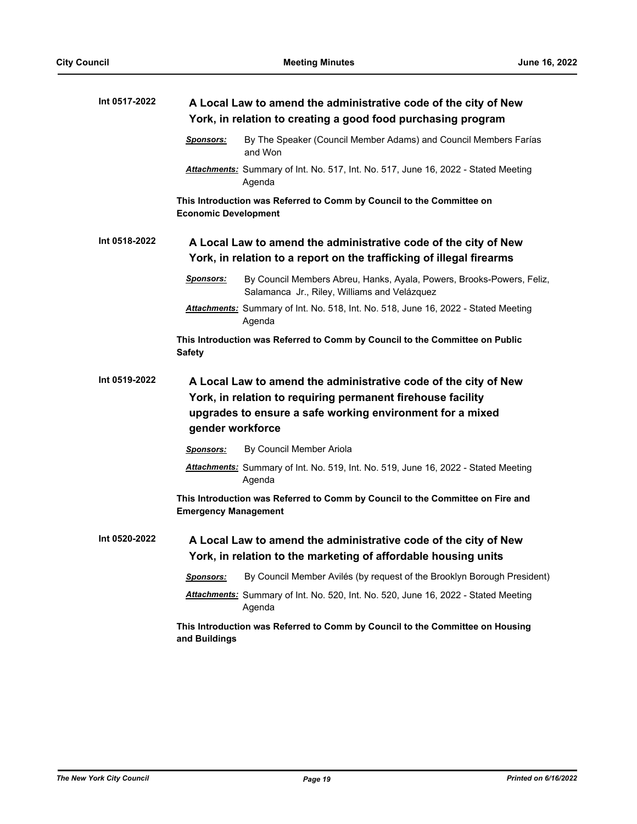| Int 0517-2022 | A Local Law to amend the administrative code of the city of New                                                                                                                                                 |
|---------------|-----------------------------------------------------------------------------------------------------------------------------------------------------------------------------------------------------------------|
|               | York, in relation to creating a good food purchasing program                                                                                                                                                    |
|               | By The Speaker (Council Member Adams) and Council Members Farías<br><b>Sponsors:</b><br>and Won                                                                                                                 |
|               | Attachments: Summary of Int. No. 517, Int. No. 517, June 16, 2022 - Stated Meeting<br>Agenda                                                                                                                    |
|               | This Introduction was Referred to Comm by Council to the Committee on<br><b>Economic Development</b>                                                                                                            |
| Int 0518-2022 | A Local Law to amend the administrative code of the city of New<br>York, in relation to a report on the trafficking of illegal firearms                                                                         |
|               | By Council Members Abreu, Hanks, Ayala, Powers, Brooks-Powers, Feliz,<br>Sponsors:<br>Salamanca Jr., Riley, Williams and Velázquez                                                                              |
|               | Attachments: Summary of Int. No. 518, Int. No. 518, June 16, 2022 - Stated Meeting<br>Agenda                                                                                                                    |
|               | This Introduction was Referred to Comm by Council to the Committee on Public<br><b>Safety</b>                                                                                                                   |
| Int 0519-2022 | A Local Law to amend the administrative code of the city of New<br>York, in relation to requiring permanent firehouse facility<br>upgrades to ensure a safe working environment for a mixed<br>gender workforce |
|               | By Council Member Ariola<br><b>Sponsors:</b>                                                                                                                                                                    |
|               | Attachments: Summary of Int. No. 519, Int. No. 519, June 16, 2022 - Stated Meeting<br>Agenda                                                                                                                    |
|               | This Introduction was Referred to Comm by Council to the Committee on Fire and<br><b>Emergency Management</b>                                                                                                   |
| Int 0520-2022 | A Local Law to amend the administrative code of the city of New<br>York, in relation to the marketing of affordable housing units                                                                               |
|               | By Council Member Avilés (by request of the Brooklyn Borough President)<br>Sponsors:                                                                                                                            |
|               | Attachments: Summary of Int. No. 520, Int. No. 520, June 16, 2022 - Stated Meeting<br>Agenda                                                                                                                    |
|               | This Introduction was Referred to Comm by Council to the Committee on Housing<br>and Buildings                                                                                                                  |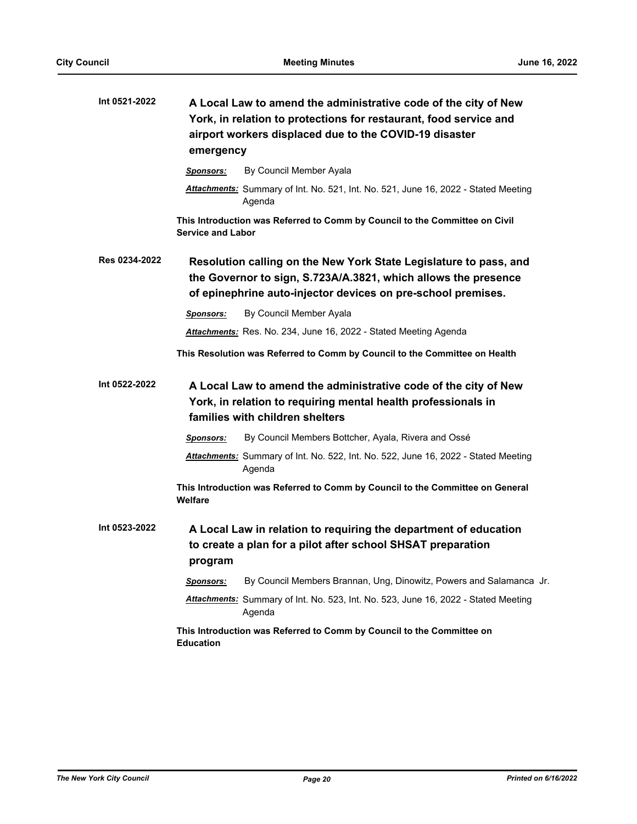| Int 0521-2022 | A Local Law to amend the administrative code of the city of New<br>York, in relation to protections for restaurant, food service and<br>airport workers displaced due to the COVID-19 disaster<br>emergency |
|---------------|-------------------------------------------------------------------------------------------------------------------------------------------------------------------------------------------------------------|
|               | By Council Member Ayala<br>Sponsors:                                                                                                                                                                        |
|               | Attachments: Summary of Int. No. 521, Int. No. 521, June 16, 2022 - Stated Meeting<br>Agenda                                                                                                                |
|               | This Introduction was Referred to Comm by Council to the Committee on Civil<br><b>Service and Labor</b>                                                                                                     |
| Res 0234-2022 | Resolution calling on the New York State Legislature to pass, and<br>the Governor to sign, S.723A/A.3821, which allows the presence<br>of epinephrine auto-injector devices on pre-school premises.         |
|               | By Council Member Ayala<br><b>Sponsors:</b>                                                                                                                                                                 |
|               | Attachments: Res. No. 234, June 16, 2022 - Stated Meeting Agenda                                                                                                                                            |
|               | This Resolution was Referred to Comm by Council to the Committee on Health                                                                                                                                  |
| Int 0522-2022 | A Local Law to amend the administrative code of the city of New<br>York, in relation to requiring mental health professionals in<br>families with children shelters                                         |
|               | By Council Members Bottcher, Ayala, Rivera and Ossé<br><b>Sponsors:</b>                                                                                                                                     |
|               | Attachments: Summary of Int. No. 522, Int. No. 522, June 16, 2022 - Stated Meeting<br>Agenda                                                                                                                |
|               | This Introduction was Referred to Comm by Council to the Committee on General<br>Welfare                                                                                                                    |
| Int 0523-2022 | A Local Law in relation to requiring the department of education<br>to create a plan for a pilot after school SHSAT preparation<br>program                                                                  |
|               | By Council Members Brannan, Ung, Dinowitz, Powers and Salamanca Jr.<br><b>Sponsors:</b>                                                                                                                     |
|               | Attachments: Summary of Int. No. 523, Int. No. 523, June 16, 2022 - Stated Meeting<br>Agenda                                                                                                                |
|               | This Introduction was Referred to Comm by Council to the Committee on<br><b>Education</b>                                                                                                                   |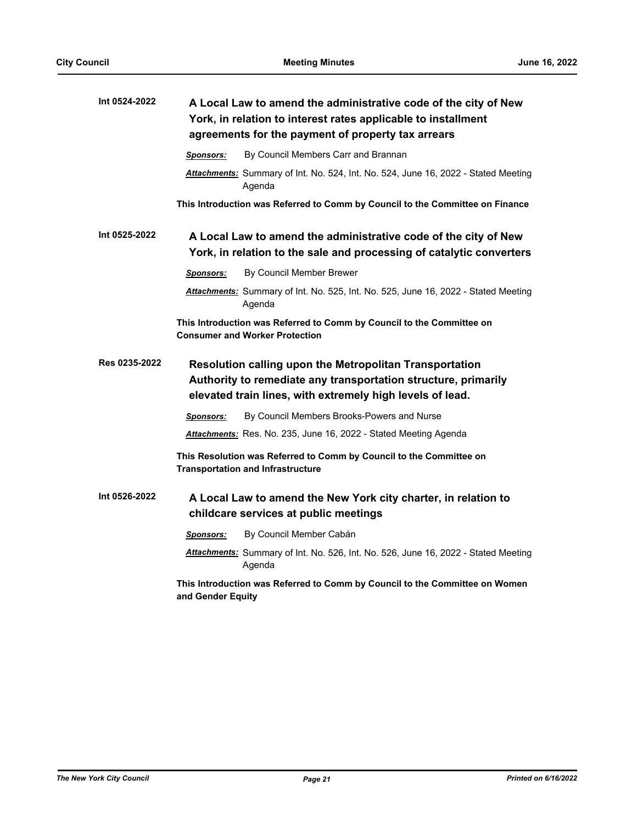| Int 0524-2022 | A Local Law to amend the administrative code of the city of New<br>York, in relation to interest rates applicable to installment<br>agreements for the payment of property tax arrears |
|---------------|----------------------------------------------------------------------------------------------------------------------------------------------------------------------------------------|
|               | By Council Members Carr and Brannan<br><b>Sponsors:</b>                                                                                                                                |
|               | Attachments: Summary of Int. No. 524, Int. No. 524, June 16, 2022 - Stated Meeting<br>Agenda                                                                                           |
|               | This Introduction was Referred to Comm by Council to the Committee on Finance                                                                                                          |
| Int 0525-2022 | A Local Law to amend the administrative code of the city of New                                                                                                                        |
|               | York, in relation to the sale and processing of catalytic converters                                                                                                                   |
|               | By Council Member Brewer<br><b>Sponsors:</b>                                                                                                                                           |
|               | <b>Attachments:</b> Summary of Int. No. 525, Int. No. 525, June 16, 2022 - Stated Meeting<br>Agenda                                                                                    |
|               | This Introduction was Referred to Comm by Council to the Committee on<br><b>Consumer and Worker Protection</b>                                                                         |
| Res 0235-2022 | Resolution calling upon the Metropolitan Transportation                                                                                                                                |
|               | Authority to remediate any transportation structure, primarily                                                                                                                         |
|               | elevated train lines, with extremely high levels of lead.                                                                                                                              |
|               | By Council Members Brooks-Powers and Nurse<br><b>Sponsors:</b>                                                                                                                         |
|               | Attachments: Res. No. 235, June 16, 2022 - Stated Meeting Agenda                                                                                                                       |
|               | This Resolution was Referred to Comm by Council to the Committee on<br><b>Transportation and Infrastructure</b>                                                                        |
| Int 0526-2022 | A Local Law to amend the New York city charter, in relation to<br>childcare services at public meetings                                                                                |
|               | By Council Member Cabán<br><b>Sponsors:</b>                                                                                                                                            |
|               | Attachments: Summary of Int. No. 526, Int. No. 526, June 16, 2022 - Stated Meeting<br>Agenda                                                                                           |
|               | This Introduction was Referred to Comm by Council to the Committee on Women<br>and Gender Equity                                                                                       |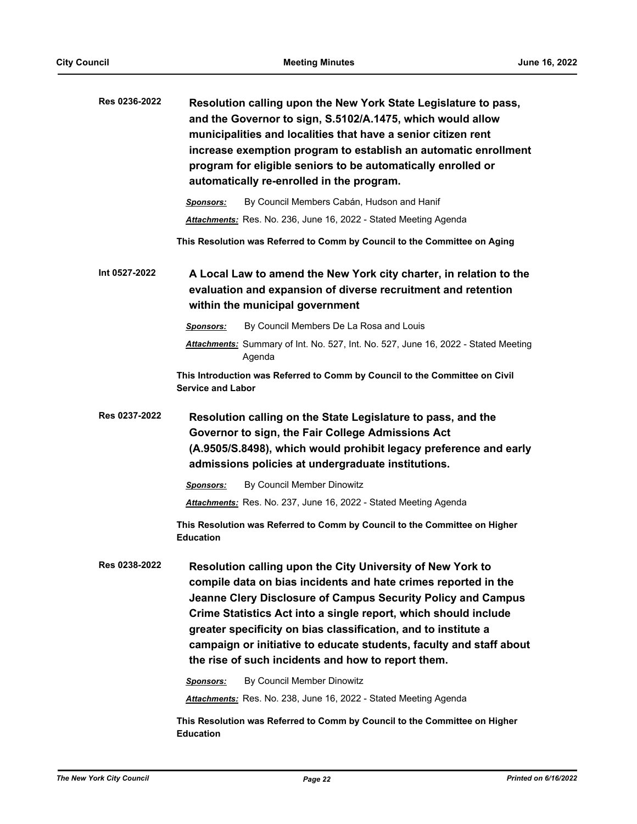| Res 0236-2022 | Resolution calling upon the New York State Legislature to pass,<br>and the Governor to sign, S.5102/A.1475, which would allow<br>municipalities and localities that have a senior citizen rent<br>increase exemption program to establish an automatic enrollment<br>program for eligible seniors to be automatically enrolled or<br>automatically re-enrolled in the program.                                                                                 |
|---------------|----------------------------------------------------------------------------------------------------------------------------------------------------------------------------------------------------------------------------------------------------------------------------------------------------------------------------------------------------------------------------------------------------------------------------------------------------------------|
|               | By Council Members Cabán, Hudson and Hanif<br>Sponsors:                                                                                                                                                                                                                                                                                                                                                                                                        |
|               | <b>Attachments:</b> Res. No. 236, June 16, 2022 - Stated Meeting Agenda                                                                                                                                                                                                                                                                                                                                                                                        |
|               | This Resolution was Referred to Comm by Council to the Committee on Aging                                                                                                                                                                                                                                                                                                                                                                                      |
| Int 0527-2022 | A Local Law to amend the New York city charter, in relation to the<br>evaluation and expansion of diverse recruitment and retention<br>within the municipal government                                                                                                                                                                                                                                                                                         |
|               | By Council Members De La Rosa and Louis<br><b>Sponsors:</b>                                                                                                                                                                                                                                                                                                                                                                                                    |
|               | Attachments: Summary of Int. No. 527, Int. No. 527, June 16, 2022 - Stated Meeting<br>Agenda                                                                                                                                                                                                                                                                                                                                                                   |
|               | This Introduction was Referred to Comm by Council to the Committee on Civil<br><b>Service and Labor</b>                                                                                                                                                                                                                                                                                                                                                        |
| Res 0237-2022 | Resolution calling on the State Legislature to pass, and the<br>Governor to sign, the Fair College Admissions Act<br>(A.9505/S.8498), which would prohibit legacy preference and early<br>admissions policies at undergraduate institutions.                                                                                                                                                                                                                   |
|               | By Council Member Dinowitz<br><b>Sponsors:</b>                                                                                                                                                                                                                                                                                                                                                                                                                 |
|               | Attachments: Res. No. 237, June 16, 2022 - Stated Meeting Agenda                                                                                                                                                                                                                                                                                                                                                                                               |
|               | This Resolution was Referred to Comm by Council to the Committee on Higher<br><b>Education</b>                                                                                                                                                                                                                                                                                                                                                                 |
| Res 0238-2022 | Resolution calling upon the City University of New York to<br>compile data on bias incidents and hate crimes reported in the<br>Jeanne Clery Disclosure of Campus Security Policy and Campus<br>Crime Statistics Act into a single report, which should include<br>greater specificity on bias classification, and to institute a<br>campaign or initiative to educate students, faculty and staff about<br>the rise of such incidents and how to report them. |
|               | By Council Member Dinowitz<br>Sponsors:                                                                                                                                                                                                                                                                                                                                                                                                                        |
|               | <b>Attachments:</b> Res. No. 238, June 16, 2022 - Stated Meeting Agenda                                                                                                                                                                                                                                                                                                                                                                                        |
|               | This Resolution was Referred to Comm by Council to the Committee on Higher<br><b>Education</b>                                                                                                                                                                                                                                                                                                                                                                 |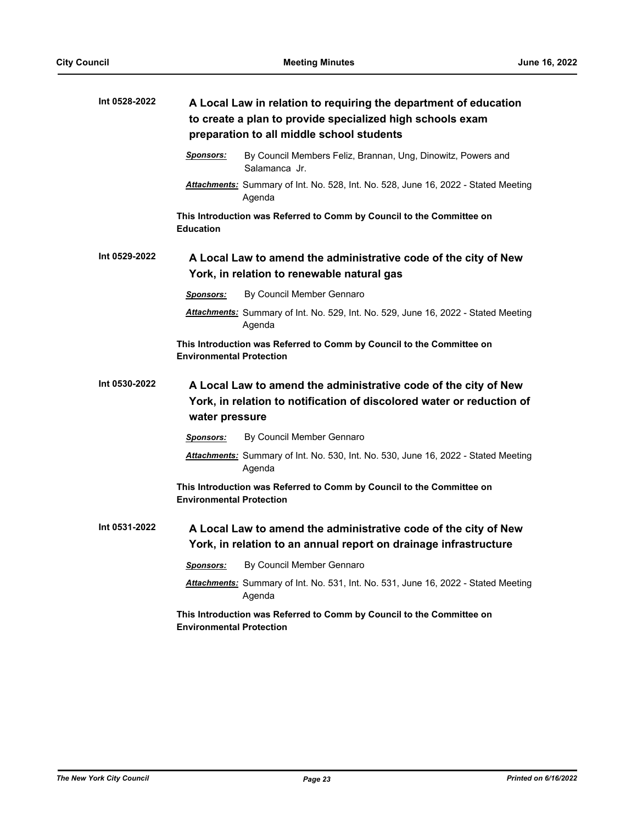| Int 0528-2022 | A Local Law in relation to requiring the department of education<br>to create a plan to provide specialized high schools exam<br>preparation to all middle school students |  |
|---------------|----------------------------------------------------------------------------------------------------------------------------------------------------------------------------|--|
|               | By Council Members Feliz, Brannan, Ung, Dinowitz, Powers and<br><u>Sponsors:</u><br>Salamanca Jr.                                                                          |  |
|               | <b>Attachments:</b> Summary of Int. No. 528, Int. No. 528, June 16, 2022 - Stated Meeting<br>Agenda                                                                        |  |
|               | This Introduction was Referred to Comm by Council to the Committee on<br><b>Education</b>                                                                                  |  |
| Int 0529-2022 | A Local Law to amend the administrative code of the city of New<br>York, in relation to renewable natural gas                                                              |  |
|               | By Council Member Gennaro<br><b>Sponsors:</b>                                                                                                                              |  |
|               | Attachments: Summary of Int. No. 529, Int. No. 529, June 16, 2022 - Stated Meeting<br>Agenda                                                                               |  |
|               | This Introduction was Referred to Comm by Council to the Committee on<br><b>Environmental Protection</b>                                                                   |  |
| Int 0530-2022 | A Local Law to amend the administrative code of the city of New<br>York, in relation to notification of discolored water or reduction of<br>water pressure                 |  |
|               | By Council Member Gennaro<br><u>Sponsors:</u>                                                                                                                              |  |
|               | Attachments: Summary of Int. No. 530, Int. No. 530, June 16, 2022 - Stated Meeting<br>Agenda                                                                               |  |
|               | This Introduction was Referred to Comm by Council to the Committee on<br><b>Environmental Protection</b>                                                                   |  |
| Int 0531-2022 | A Local Law to amend the administrative code of the city of New<br>York, in relation to an annual report on drainage infrastructure                                        |  |
|               | By Council Member Gennaro<br><b>Sponsors:</b>                                                                                                                              |  |
|               | Attachments: Summary of Int. No. 531, Int. No. 531, June 16, 2022 - Stated Meeting<br>Agenda                                                                               |  |
|               | This Introduction was Referred to Comm by Council to the Committee on<br><b>Environmental Protection</b>                                                                   |  |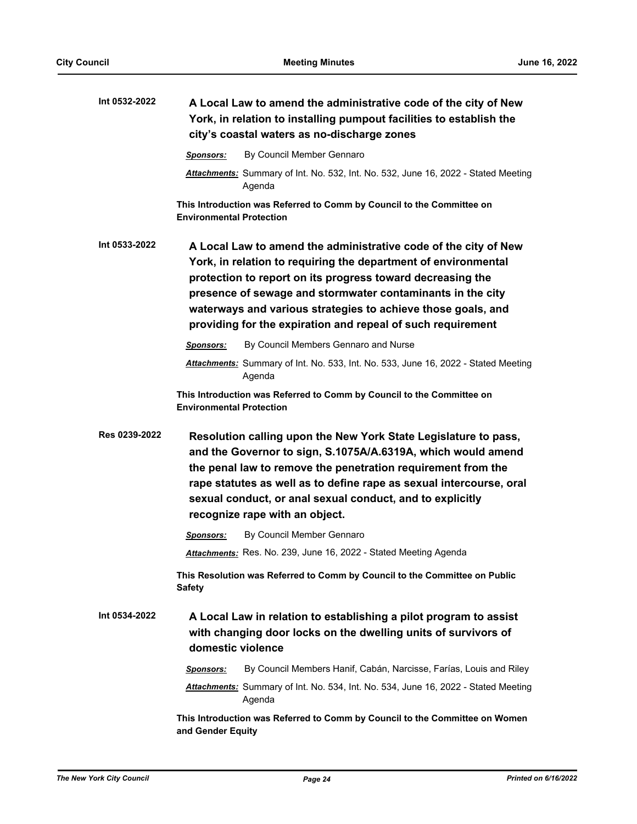| Int 0532-2022 | A Local Law to amend the administrative code of the city of New<br>York, in relation to installing pumpout facilities to establish the<br>city's coastal waters as no-discharge zones                                                                                                                                                                                                        |
|---------------|----------------------------------------------------------------------------------------------------------------------------------------------------------------------------------------------------------------------------------------------------------------------------------------------------------------------------------------------------------------------------------------------|
|               | By Council Member Gennaro<br><b>Sponsors:</b>                                                                                                                                                                                                                                                                                                                                                |
|               | Attachments: Summary of Int. No. 532, Int. No. 532, June 16, 2022 - Stated Meeting<br>Agenda                                                                                                                                                                                                                                                                                                 |
|               | This Introduction was Referred to Comm by Council to the Committee on<br><b>Environmental Protection</b>                                                                                                                                                                                                                                                                                     |
| Int 0533-2022 | A Local Law to amend the administrative code of the city of New<br>York, in relation to requiring the department of environmental<br>protection to report on its progress toward decreasing the<br>presence of sewage and stormwater contaminants in the city<br>waterways and various strategies to achieve those goals, and<br>providing for the expiration and repeal of such requirement |
|               | By Council Members Gennaro and Nurse<br><b>Sponsors:</b>                                                                                                                                                                                                                                                                                                                                     |
|               | Attachments: Summary of Int. No. 533, Int. No. 533, June 16, 2022 - Stated Meeting<br>Agenda                                                                                                                                                                                                                                                                                                 |
|               | This Introduction was Referred to Comm by Council to the Committee on<br><b>Environmental Protection</b>                                                                                                                                                                                                                                                                                     |
| Res 0239-2022 | Resolution calling upon the New York State Legislature to pass,<br>and the Governor to sign, S.1075A/A.6319A, which would amend<br>the penal law to remove the penetration requirement from the<br>rape statutes as well as to define rape as sexual intercourse, oral<br>sexual conduct, or anal sexual conduct, and to explicitly<br>recognize rape with an object.                        |
|               | By Council Member Gennaro<br><b>Sponsors:</b>                                                                                                                                                                                                                                                                                                                                                |
|               | Attachments: Res. No. 239, June 16, 2022 - Stated Meeting Agenda                                                                                                                                                                                                                                                                                                                             |
|               | This Resolution was Referred to Comm by Council to the Committee on Public<br><b>Safety</b>                                                                                                                                                                                                                                                                                                  |
| Int 0534-2022 | A Local Law in relation to establishing a pilot program to assist<br>with changing door locks on the dwelling units of survivors of<br>domestic violence                                                                                                                                                                                                                                     |
|               | By Council Members Hanif, Cabán, Narcisse, Farías, Louis and Riley<br><b>Sponsors:</b>                                                                                                                                                                                                                                                                                                       |
|               | <b>Attachments:</b> Summary of Int. No. 534, Int. No. 534, June 16, 2022 - Stated Meeting<br>Agenda                                                                                                                                                                                                                                                                                          |
|               | This Introduction was Referred to Comm by Council to the Committee on Women                                                                                                                                                                                                                                                                                                                  |

**and Gender Equity**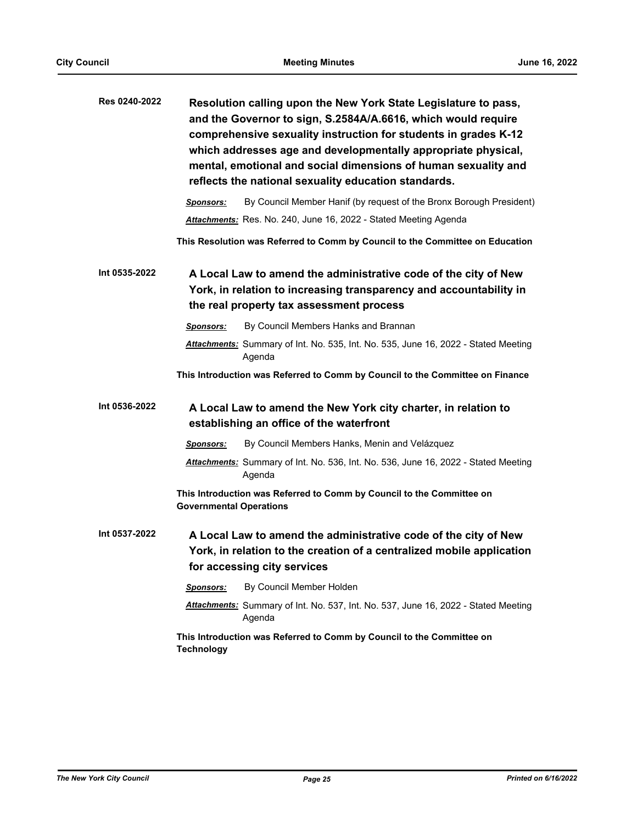| Res 0240-2022 | Resolution calling upon the New York State Legislature to pass,<br>and the Governor to sign, S.2584A/A.6616, which would require<br>comprehensive sexuality instruction for students in grades K-12<br>which addresses age and developmentally appropriate physical,<br>mental, emotional and social dimensions of human sexuality and<br>reflects the national sexuality education standards. |
|---------------|------------------------------------------------------------------------------------------------------------------------------------------------------------------------------------------------------------------------------------------------------------------------------------------------------------------------------------------------------------------------------------------------|
|               | By Council Member Hanif (by request of the Bronx Borough President)<br><b>Sponsors:</b>                                                                                                                                                                                                                                                                                                        |
|               | Attachments: Res. No. 240, June 16, 2022 - Stated Meeting Agenda                                                                                                                                                                                                                                                                                                                               |
|               | This Resolution was Referred to Comm by Council to the Committee on Education                                                                                                                                                                                                                                                                                                                  |
| Int 0535-2022 | A Local Law to amend the administrative code of the city of New<br>York, in relation to increasing transparency and accountability in<br>the real property tax assessment process                                                                                                                                                                                                              |
|               | By Council Members Hanks and Brannan<br><b>Sponsors:</b>                                                                                                                                                                                                                                                                                                                                       |
|               | Attachments: Summary of Int. No. 535, Int. No. 535, June 16, 2022 - Stated Meeting<br>Agenda                                                                                                                                                                                                                                                                                                   |
|               | This Introduction was Referred to Comm by Council to the Committee on Finance                                                                                                                                                                                                                                                                                                                  |
| Int 0536-2022 | A Local Law to amend the New York city charter, in relation to<br>establishing an office of the waterfront                                                                                                                                                                                                                                                                                     |
|               | By Council Members Hanks, Menin and Velázquez<br>Sponsors:                                                                                                                                                                                                                                                                                                                                     |
|               | Attachments: Summary of Int. No. 536, Int. No. 536, June 16, 2022 - Stated Meeting<br>Agenda                                                                                                                                                                                                                                                                                                   |
|               | This Introduction was Referred to Comm by Council to the Committee on<br><b>Governmental Operations</b>                                                                                                                                                                                                                                                                                        |
| Int 0537-2022 | A Local Law to amend the administrative code of the city of New<br>York, in relation to the creation of a centralized mobile application<br>for accessing city services                                                                                                                                                                                                                        |
|               | By Council Member Holden<br><b>Sponsors:</b>                                                                                                                                                                                                                                                                                                                                                   |
|               | <b>Attachments:</b> Summary of Int. No. 537, Int. No. 537, June 16, 2022 - Stated Meeting<br>Agenda                                                                                                                                                                                                                                                                                            |
|               | This Introduction was Referred to Comm by Council to the Committee on<br><b>Technology</b>                                                                                                                                                                                                                                                                                                     |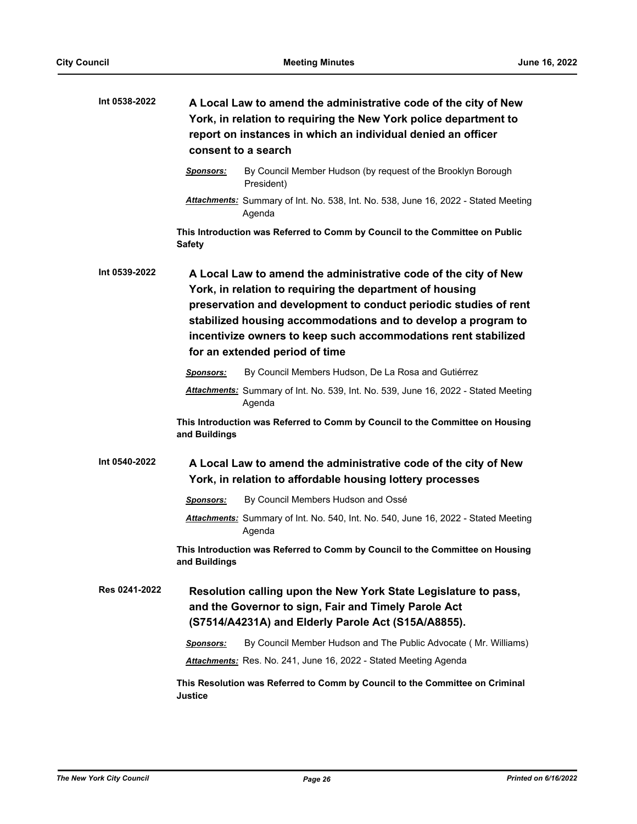| Int 0538-2022 |                  | A Local Law to amend the administrative code of the city of New<br>York, in relation to requiring the New York police department to<br>report on instances in which an individual denied an officer<br>consent to a search                                                                                                                                           |
|---------------|------------------|----------------------------------------------------------------------------------------------------------------------------------------------------------------------------------------------------------------------------------------------------------------------------------------------------------------------------------------------------------------------|
|               | <u>Sponsors:</u> | By Council Member Hudson (by request of the Brooklyn Borough<br>President)                                                                                                                                                                                                                                                                                           |
|               |                  | Attachments: Summary of Int. No. 538, Int. No. 538, June 16, 2022 - Stated Meeting<br>Agenda                                                                                                                                                                                                                                                                         |
|               | <b>Safety</b>    | This Introduction was Referred to Comm by Council to the Committee on Public                                                                                                                                                                                                                                                                                         |
| Int 0539-2022 |                  | A Local Law to amend the administrative code of the city of New<br>York, in relation to requiring the department of housing<br>preservation and development to conduct periodic studies of rent<br>stabilized housing accommodations and to develop a program to<br>incentivize owners to keep such accommodations rent stabilized<br>for an extended period of time |
|               | Sponsors:        | By Council Members Hudson, De La Rosa and Gutiérrez                                                                                                                                                                                                                                                                                                                  |
|               |                  | Attachments: Summary of Int. No. 539, Int. No. 539, June 16, 2022 - Stated Meeting<br>Agenda                                                                                                                                                                                                                                                                         |
|               | and Buildings    | This Introduction was Referred to Comm by Council to the Committee on Housing                                                                                                                                                                                                                                                                                        |
| Int 0540-2022 |                  | A Local Law to amend the administrative code of the city of New<br>York, in relation to affordable housing lottery processes                                                                                                                                                                                                                                         |
|               | <b>Sponsors:</b> | By Council Members Hudson and Ossé                                                                                                                                                                                                                                                                                                                                   |
|               |                  | Attachments: Summary of Int. No. 540, Int. No. 540, June 16, 2022 - Stated Meeting<br>Agenda                                                                                                                                                                                                                                                                         |
|               | and Buildings    | This Introduction was Referred to Comm by Council to the Committee on Housing                                                                                                                                                                                                                                                                                        |
| Res 0241-2022 |                  | Resolution calling upon the New York State Legislature to pass,<br>and the Governor to sign, Fair and Timely Parole Act<br>(S7514/A4231A) and Elderly Parole Act (S15A/A8855).                                                                                                                                                                                       |
|               | Sponsors:        | By Council Member Hudson and The Public Advocate (Mr. Williams)                                                                                                                                                                                                                                                                                                      |
|               |                  | Attachments: Res. No. 241, June 16, 2022 - Stated Meeting Agenda                                                                                                                                                                                                                                                                                                     |
|               | Justice          | This Resolution was Referred to Comm by Council to the Committee on Criminal                                                                                                                                                                                                                                                                                         |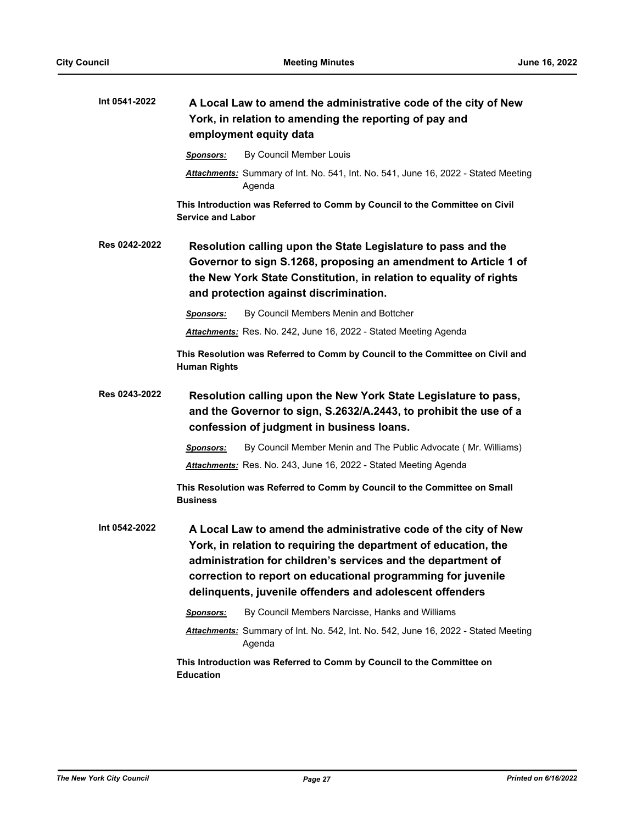| Int 0541-2022 | A Local Law to amend the administrative code of the city of New<br>York, in relation to amending the reporting of pay and<br>employment equity data                                                                                                                                                                            |
|---------------|--------------------------------------------------------------------------------------------------------------------------------------------------------------------------------------------------------------------------------------------------------------------------------------------------------------------------------|
|               | By Council Member Louis<br><b>Sponsors:</b>                                                                                                                                                                                                                                                                                    |
|               | Attachments: Summary of Int. No. 541, Int. No. 541, June 16, 2022 - Stated Meeting<br>Agenda                                                                                                                                                                                                                                   |
|               | This Introduction was Referred to Comm by Council to the Committee on Civil<br><b>Service and Labor</b>                                                                                                                                                                                                                        |
| Res 0242-2022 | Resolution calling upon the State Legislature to pass and the<br>Governor to sign S.1268, proposing an amendment to Article 1 of<br>the New York State Constitution, in relation to equality of rights<br>and protection against discrimination.                                                                               |
|               | By Council Members Menin and Bottcher<br><b>Sponsors:</b>                                                                                                                                                                                                                                                                      |
|               | Attachments: Res. No. 242, June 16, 2022 - Stated Meeting Agenda                                                                                                                                                                                                                                                               |
|               | This Resolution was Referred to Comm by Council to the Committee on Civil and<br><b>Human Rights</b>                                                                                                                                                                                                                           |
| Res 0243-2022 | Resolution calling upon the New York State Legislature to pass,<br>and the Governor to sign, S.2632/A.2443, to prohibit the use of a<br>confession of judgment in business loans.                                                                                                                                              |
|               | By Council Member Menin and The Public Advocate (Mr. Williams)<br>Sponsors:                                                                                                                                                                                                                                                    |
|               | Attachments: Res. No. 243, June 16, 2022 - Stated Meeting Agenda                                                                                                                                                                                                                                                               |
|               | This Resolution was Referred to Comm by Council to the Committee on Small<br><b>Business</b>                                                                                                                                                                                                                                   |
| Int 0542-2022 | A Local Law to amend the administrative code of the city of New<br>York, in relation to requiring the department of education, the<br>administration for children's services and the department of<br>correction to report on educational programming for juvenile<br>delinquents, juvenile offenders and adolescent offenders |
|               | By Council Members Narcisse, Hanks and Williams<br>Sponsors:                                                                                                                                                                                                                                                                   |
|               | Attachments: Summary of Int. No. 542, Int. No. 542, June 16, 2022 - Stated Meeting<br>Agenda                                                                                                                                                                                                                                   |
|               | This Introduction was Referred to Comm by Council to the Committee on<br><b>Education</b>                                                                                                                                                                                                                                      |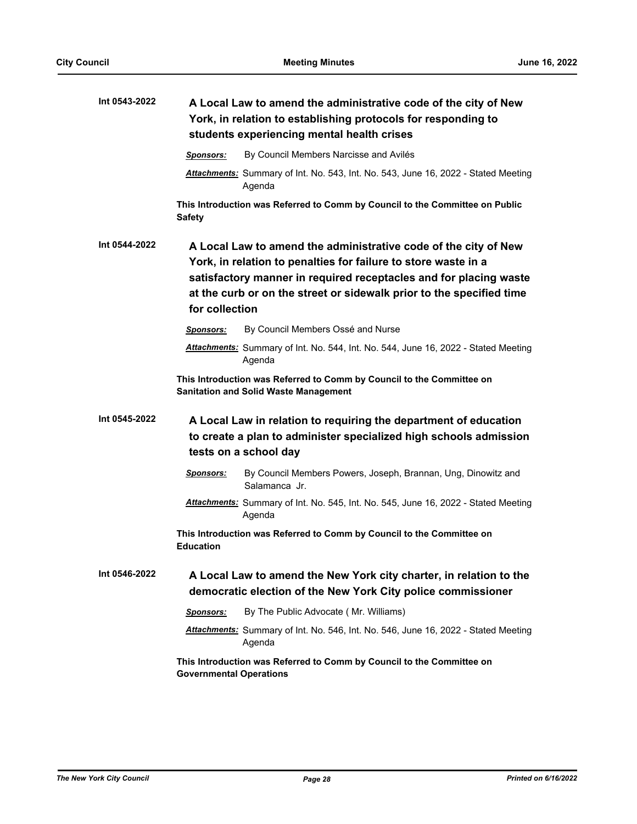| Int 0543-2022 | A Local Law to amend the administrative code of the city of New<br>York, in relation to establishing protocols for responding to<br>students experiencing mental health crises                                                                                                                   |
|---------------|--------------------------------------------------------------------------------------------------------------------------------------------------------------------------------------------------------------------------------------------------------------------------------------------------|
|               | By Council Members Narcisse and Avilés<br><b>Sponsors:</b>                                                                                                                                                                                                                                       |
|               | Attachments: Summary of Int. No. 543, Int. No. 543, June 16, 2022 - Stated Meeting<br>Agenda                                                                                                                                                                                                     |
|               | This Introduction was Referred to Comm by Council to the Committee on Public<br>Safety                                                                                                                                                                                                           |
| Int 0544-2022 | A Local Law to amend the administrative code of the city of New<br>York, in relation to penalties for failure to store waste in a<br>satisfactory manner in required receptacles and for placing waste<br>at the curb or on the street or sidewalk prior to the specified time<br>for collection |
|               | By Council Members Ossé and Nurse<br><b>Sponsors:</b>                                                                                                                                                                                                                                            |
|               | Attachments: Summary of Int. No. 544, Int. No. 544, June 16, 2022 - Stated Meeting<br>Agenda                                                                                                                                                                                                     |
|               | This Introduction was Referred to Comm by Council to the Committee on<br><b>Sanitation and Solid Waste Management</b>                                                                                                                                                                            |
| Int 0545-2022 | A Local Law in relation to requiring the department of education<br>to create a plan to administer specialized high schools admission<br>tests on a school day                                                                                                                                   |
|               | <b>Sponsors:</b><br>By Council Members Powers, Joseph, Brannan, Ung, Dinowitz and<br>Salamanca Jr.                                                                                                                                                                                               |
|               | Attachments: Summary of Int. No. 545, Int. No. 545, June 16, 2022 - Stated Meeting<br>Agenda                                                                                                                                                                                                     |
|               | This Introduction was Referred to Comm by Council to the Committee on<br><b>Education</b>                                                                                                                                                                                                        |
| Int 0546-2022 | A Local Law to amend the New York city charter, in relation to the<br>democratic election of the New York City police commissioner                                                                                                                                                               |
|               | By The Public Advocate (Mr. Williams)<br><b>Sponsors:</b>                                                                                                                                                                                                                                        |
|               | Attachments: Summary of Int. No. 546, Int. No. 546, June 16, 2022 - Stated Meeting<br>Agenda                                                                                                                                                                                                     |
|               | This Introduction was Referred to Comm by Council to the Committee on<br><b>Governmental Operations</b>                                                                                                                                                                                          |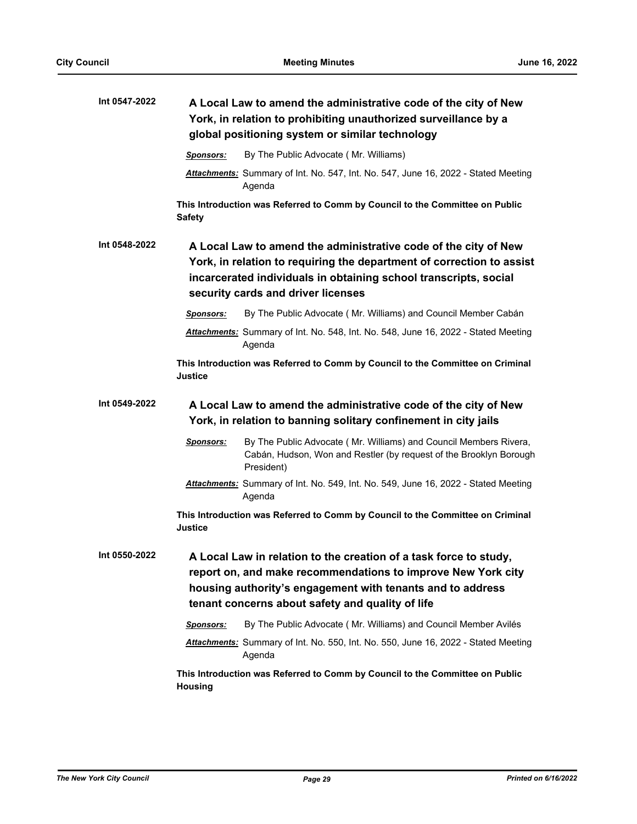| Int 0547-2022 | A Local Law to amend the administrative code of the city of New<br>York, in relation to prohibiting unauthorized surveillance by a<br>global positioning system or similar technology                                                               |
|---------------|-----------------------------------------------------------------------------------------------------------------------------------------------------------------------------------------------------------------------------------------------------|
|               | By The Public Advocate (Mr. Williams)<br>Sponsors:                                                                                                                                                                                                  |
|               | Attachments: Summary of Int. No. 547, Int. No. 547, June 16, 2022 - Stated Meeting<br>Agenda                                                                                                                                                        |
|               | This Introduction was Referred to Comm by Council to the Committee on Public<br><b>Safety</b>                                                                                                                                                       |
| Int 0548-2022 | A Local Law to amend the administrative code of the city of New<br>York, in relation to requiring the department of correction to assist<br>incarcerated individuals in obtaining school transcripts, social<br>security cards and driver licenses  |
|               | By The Public Advocate (Mr. Williams) and Council Member Cabán<br><b>Sponsors:</b>                                                                                                                                                                  |
|               | Attachments: Summary of Int. No. 548, Int. No. 548, June 16, 2022 - Stated Meeting<br>Agenda                                                                                                                                                        |
|               | This Introduction was Referred to Comm by Council to the Committee on Criminal<br><b>Justice</b>                                                                                                                                                    |
| Int 0549-2022 | A Local Law to amend the administrative code of the city of New<br>York, in relation to banning solitary confinement in city jails                                                                                                                  |
|               | By The Public Advocate (Mr. Williams) and Council Members Rivera,<br>Sponsors:<br>Cabán, Hudson, Won and Restler (by request of the Brooklyn Borough<br>President)                                                                                  |
|               | Attachments: Summary of Int. No. 549, Int. No. 549, June 16, 2022 - Stated Meeting<br>Agenda                                                                                                                                                        |
|               | This Introduction was Referred to Comm by Council to the Committee on Criminal<br><b>Justice</b>                                                                                                                                                    |
| Int 0550-2022 | A Local Law in relation to the creation of a task force to study,<br>report on, and make recommendations to improve New York city<br>housing authority's engagement with tenants and to address<br>tenant concerns about safety and quality of life |
|               | By The Public Advocate (Mr. Williams) and Council Member Avilés<br><b>Sponsors:</b>                                                                                                                                                                 |
|               | Attachments: Summary of Int. No. 550, Int. No. 550, June 16, 2022 - Stated Meeting<br>Agenda                                                                                                                                                        |
|               | This Introduction was Referred to Comm by Council to the Committee on Public<br>Housing                                                                                                                                                             |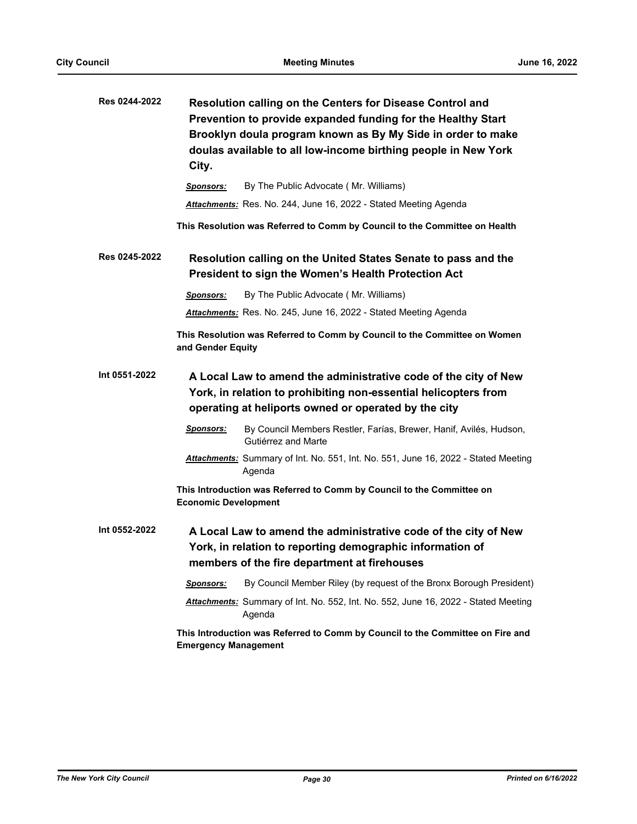| Res 0244-2022 | City.                       | Resolution calling on the Centers for Disease Control and<br>Prevention to provide expanded funding for the Healthy Start<br>Brooklyn doula program known as By My Side in order to make<br>doulas available to all low-income birthing people in New York |
|---------------|-----------------------------|------------------------------------------------------------------------------------------------------------------------------------------------------------------------------------------------------------------------------------------------------------|
|               | <b>Sponsors:</b>            | By The Public Advocate (Mr. Williams)                                                                                                                                                                                                                      |
|               |                             | Attachments: Res. No. 244, June 16, 2022 - Stated Meeting Agenda                                                                                                                                                                                           |
|               |                             | This Resolution was Referred to Comm by Council to the Committee on Health                                                                                                                                                                                 |
| Res 0245-2022 |                             | Resolution calling on the United States Senate to pass and the<br>President to sign the Women's Health Protection Act                                                                                                                                      |
|               | Sponsors:                   | By The Public Advocate (Mr. Williams)                                                                                                                                                                                                                      |
|               |                             | Attachments: Res. No. 245, June 16, 2022 - Stated Meeting Agenda                                                                                                                                                                                           |
|               | and Gender Equity           | This Resolution was Referred to Comm by Council to the Committee on Women                                                                                                                                                                                  |
| Int 0551-2022 |                             | A Local Law to amend the administrative code of the city of New<br>York, in relation to prohibiting non-essential helicopters from<br>operating at heliports owned or operated by the city                                                                 |
|               | <b>Sponsors:</b>            | By Council Members Restler, Farías, Brewer, Hanif, Avilés, Hudson,<br>Gutiérrez and Marte                                                                                                                                                                  |
|               |                             | Attachments: Summary of Int. No. 551, Int. No. 551, June 16, 2022 - Stated Meeting<br>Agenda                                                                                                                                                               |
|               | <b>Economic Development</b> | This Introduction was Referred to Comm by Council to the Committee on                                                                                                                                                                                      |
| Int 0552-2022 |                             | A Local Law to amend the administrative code of the city of New<br>York, in relation to reporting demographic information of<br>members of the fire department at firehouses                                                                               |
|               | Sponsors:                   | By Council Member Riley (by request of the Bronx Borough President)                                                                                                                                                                                        |
|               |                             | Attachments: Summary of Int. No. 552, Int. No. 552, June 16, 2022 - Stated Meeting<br>Agenda                                                                                                                                                               |
|               | <b>Emergency Management</b> | This Introduction was Referred to Comm by Council to the Committee on Fire and                                                                                                                                                                             |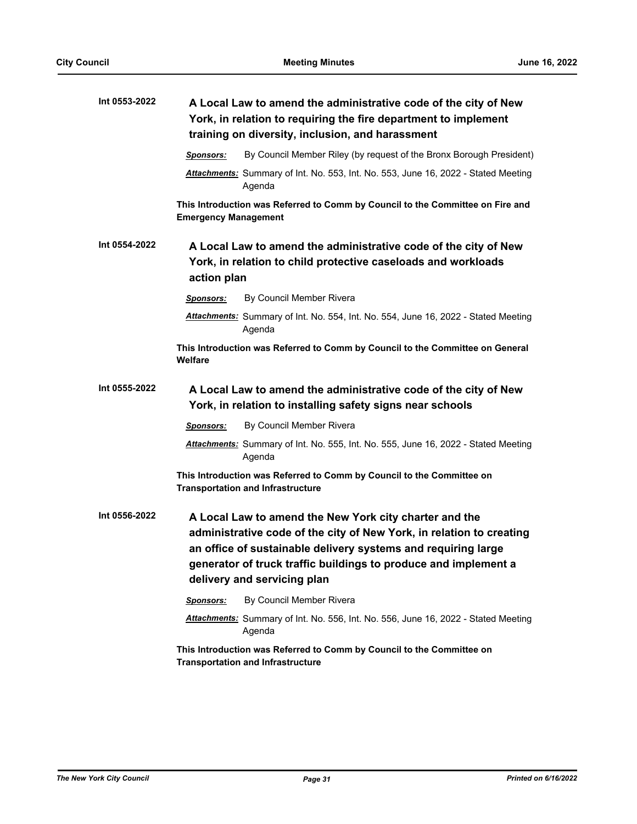| Int 0553-2022 | A Local Law to amend the administrative code of the city of New<br>York, in relation to requiring the fire department to implement<br>training on diversity, inclusion, and harassment                                                                                                            |
|---------------|---------------------------------------------------------------------------------------------------------------------------------------------------------------------------------------------------------------------------------------------------------------------------------------------------|
|               | By Council Member Riley (by request of the Bronx Borough President)<br><b>Sponsors:</b>                                                                                                                                                                                                           |
|               | Attachments: Summary of Int. No. 553, Int. No. 553, June 16, 2022 - Stated Meeting<br>Agenda                                                                                                                                                                                                      |
|               | This Introduction was Referred to Comm by Council to the Committee on Fire and<br><b>Emergency Management</b>                                                                                                                                                                                     |
| Int 0554-2022 | A Local Law to amend the administrative code of the city of New<br>York, in relation to child protective caseloads and workloads<br>action plan                                                                                                                                                   |
|               | By Council Member Rivera<br><b>Sponsors:</b>                                                                                                                                                                                                                                                      |
|               | Attachments: Summary of Int. No. 554, Int. No. 554, June 16, 2022 - Stated Meeting<br>Agenda                                                                                                                                                                                                      |
|               | This Introduction was Referred to Comm by Council to the Committee on General<br>Welfare                                                                                                                                                                                                          |
| Int 0555-2022 | A Local Law to amend the administrative code of the city of New<br>York, in relation to installing safety signs near schools                                                                                                                                                                      |
|               | By Council Member Rivera<br><b>Sponsors:</b>                                                                                                                                                                                                                                                      |
|               | Attachments: Summary of Int. No. 555, Int. No. 555, June 16, 2022 - Stated Meeting<br>Agenda                                                                                                                                                                                                      |
|               | This Introduction was Referred to Comm by Council to the Committee on<br><b>Transportation and Infrastructure</b>                                                                                                                                                                                 |
| Int 0556-2022 | A Local Law to amend the New York city charter and the<br>administrative code of the city of New York, in relation to creating<br>an office of sustainable delivery systems and requiring large<br>generator of truck traffic buildings to produce and implement a<br>delivery and servicing plan |
|               | By Council Member Rivera<br>Sponsors:                                                                                                                                                                                                                                                             |
|               | <b>Attachments:</b> Summary of Int. No. 556, Int. No. 556, June 16, 2022 - Stated Meeting<br>Agenda                                                                                                                                                                                               |
|               | This Introduction was Referred to Comm by Council to the Committee on<br><b>Transportation and Infrastructure</b>                                                                                                                                                                                 |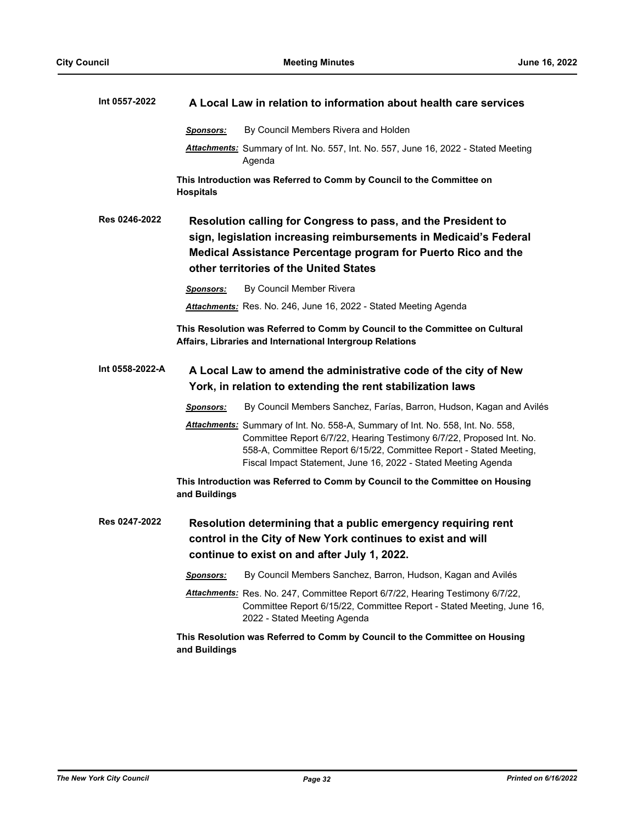| Int 0557-2022   | A Local Law in relation to information about health care services                                                                                                                                                                                                                               |
|-----------------|-------------------------------------------------------------------------------------------------------------------------------------------------------------------------------------------------------------------------------------------------------------------------------------------------|
|                 | By Council Members Rivera and Holden<br><b>Sponsors:</b>                                                                                                                                                                                                                                        |
|                 | <b>Attachments:</b> Summary of Int. No. 557, Int. No. 557, June 16, 2022 - Stated Meeting<br>Agenda                                                                                                                                                                                             |
|                 | This Introduction was Referred to Comm by Council to the Committee on<br><b>Hospitals</b>                                                                                                                                                                                                       |
| Res 0246-2022   | Resolution calling for Congress to pass, and the President to<br>sign, legislation increasing reimbursements in Medicaid's Federal<br>Medical Assistance Percentage program for Puerto Rico and the<br>other territories of the United States                                                   |
|                 | By Council Member Rivera<br><b>Sponsors:</b>                                                                                                                                                                                                                                                    |
|                 | Attachments: Res. No. 246, June 16, 2022 - Stated Meeting Agenda                                                                                                                                                                                                                                |
|                 | This Resolution was Referred to Comm by Council to the Committee on Cultural<br>Affairs, Libraries and International Intergroup Relations                                                                                                                                                       |
| Int 0558-2022-A | A Local Law to amend the administrative code of the city of New                                                                                                                                                                                                                                 |
|                 | York, in relation to extending the rent stabilization laws                                                                                                                                                                                                                                      |
|                 | By Council Members Sanchez, Farías, Barron, Hudson, Kagan and Avilés<br><b>Sponsors:</b>                                                                                                                                                                                                        |
|                 | Attachments: Summary of Int. No. 558-A, Summary of Int. No. 558, Int. No. 558,<br>Committee Report 6/7/22, Hearing Testimony 6/7/22, Proposed Int. No.<br>558-A, Committee Report 6/15/22, Committee Report - Stated Meeting,<br>Fiscal Impact Statement, June 16, 2022 - Stated Meeting Agenda |
|                 | This Introduction was Referred to Comm by Council to the Committee on Housing<br>and Buildings                                                                                                                                                                                                  |
| Res 0247-2022   | Resolution determining that a public emergency requiring rent<br>control in the City of New York continues to exist and will<br>continue to exist on and after July 1, 2022.                                                                                                                    |
|                 | By Council Members Sanchez, Barron, Hudson, Kagan and Avilés<br><b>Sponsors:</b>                                                                                                                                                                                                                |
|                 | Attachments: Res. No. 247, Committee Report 6/7/22, Hearing Testimony 6/7/22,<br>Committee Report 6/15/22, Committee Report - Stated Meeting, June 16,<br>2022 - Stated Meeting Agenda                                                                                                          |
|                 | This Resolution was Referred to Comm by Council to the Committee on Housing<br>and Buildings                                                                                                                                                                                                    |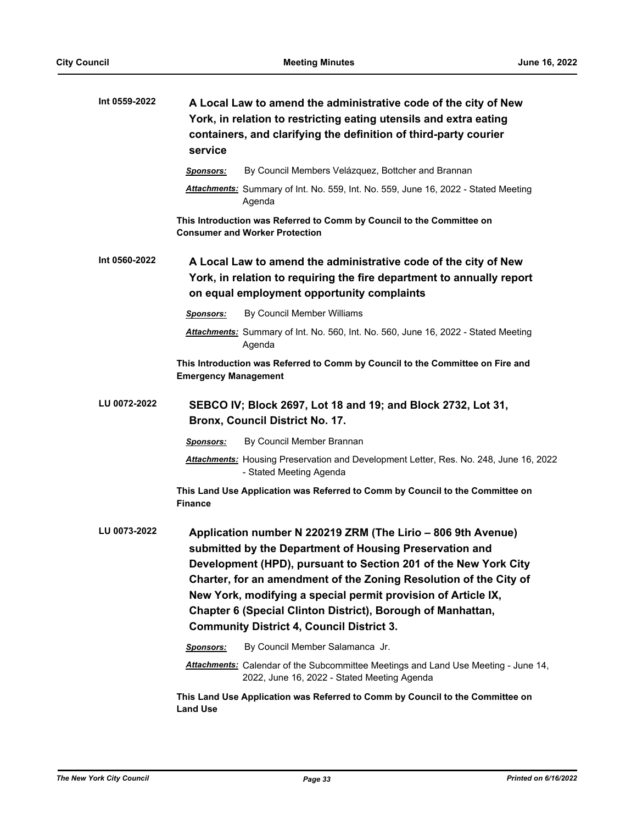| Int 0559-2022 | A Local Law to amend the administrative code of the city of New<br>York, in relation to restricting eating utensils and extra eating<br>containers, and clarifying the definition of third-party courier<br>service                                                                                                                                                                                                                                 |
|---------------|-----------------------------------------------------------------------------------------------------------------------------------------------------------------------------------------------------------------------------------------------------------------------------------------------------------------------------------------------------------------------------------------------------------------------------------------------------|
|               | By Council Members Velázquez, Bottcher and Brannan<br><b>Sponsors:</b>                                                                                                                                                                                                                                                                                                                                                                              |
|               | <b>Attachments:</b> Summary of Int. No. 559, Int. No. 559, June 16, 2022 - Stated Meeting<br>Agenda                                                                                                                                                                                                                                                                                                                                                 |
|               | This Introduction was Referred to Comm by Council to the Committee on<br><b>Consumer and Worker Protection</b>                                                                                                                                                                                                                                                                                                                                      |
| Int 0560-2022 | A Local Law to amend the administrative code of the city of New<br>York, in relation to requiring the fire department to annually report<br>on equal employment opportunity complaints                                                                                                                                                                                                                                                              |
|               | By Council Member Williams<br><b>Sponsors:</b>                                                                                                                                                                                                                                                                                                                                                                                                      |
|               | Attachments: Summary of Int. No. 560, Int. No. 560, June 16, 2022 - Stated Meeting<br>Agenda                                                                                                                                                                                                                                                                                                                                                        |
|               | This Introduction was Referred to Comm by Council to the Committee on Fire and<br><b>Emergency Management</b>                                                                                                                                                                                                                                                                                                                                       |
| LU 0072-2022  | SEBCO IV; Block 2697, Lot 18 and 19; and Block 2732, Lot 31,<br>Bronx, Council District No. 17.                                                                                                                                                                                                                                                                                                                                                     |
|               | By Council Member Brannan<br>Sponsors:                                                                                                                                                                                                                                                                                                                                                                                                              |
|               | Attachments: Housing Preservation and Development Letter, Res. No. 248, June 16, 2022<br>- Stated Meeting Agenda                                                                                                                                                                                                                                                                                                                                    |
|               | This Land Use Application was Referred to Comm by Council to the Committee on<br><b>Finance</b>                                                                                                                                                                                                                                                                                                                                                     |
| LU 0073-2022  | Application number N 220219 ZRM (The Lirio - 806 9th Avenue)<br>submitted by the Department of Housing Preservation and<br>Development (HPD), pursuant to Section 201 of the New York City<br>Charter, for an amendment of the Zoning Resolution of the City of<br>New York, modifying a special permit provision of Article IX,<br>Chapter 6 (Special Clinton District), Borough of Manhattan,<br><b>Community District 4, Council District 3.</b> |
|               | By Council Member Salamanca Jr.<br><b>Sponsors:</b>                                                                                                                                                                                                                                                                                                                                                                                                 |
|               | Attachments: Calendar of the Subcommittee Meetings and Land Use Meeting - June 14,<br>2022, June 16, 2022 - Stated Meeting Agenda                                                                                                                                                                                                                                                                                                                   |
|               | This Land Use Application was Referred to Comm by Council to the Committee on<br><b>Land Use</b>                                                                                                                                                                                                                                                                                                                                                    |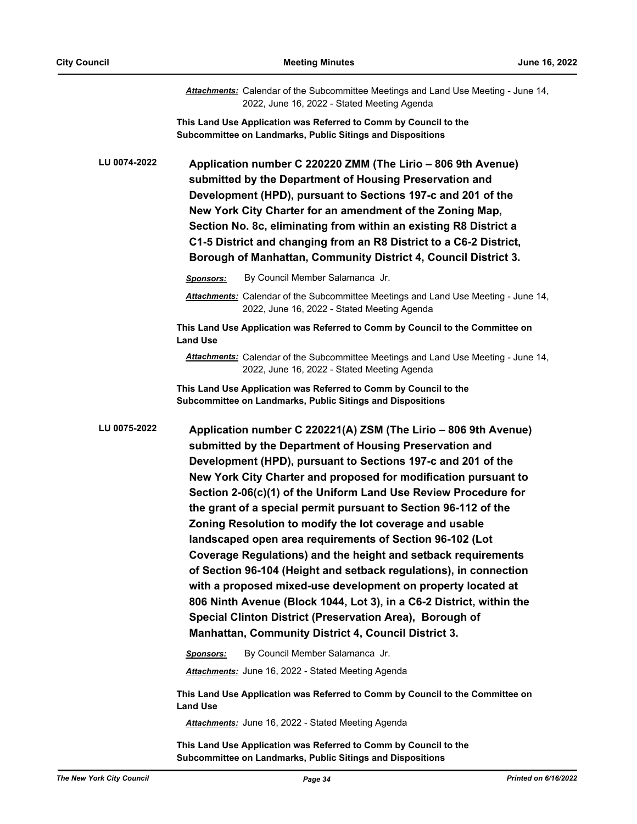|              | Attachments: Calendar of the Subcommittee Meetings and Land Use Meeting - June 14,<br>2022, June 16, 2022 - Stated Meeting Agenda                                                                                                                                                                                                                                                                                                                                                                                                                                                                                                                                                                                                                                                                                                                                                                                            |
|--------------|------------------------------------------------------------------------------------------------------------------------------------------------------------------------------------------------------------------------------------------------------------------------------------------------------------------------------------------------------------------------------------------------------------------------------------------------------------------------------------------------------------------------------------------------------------------------------------------------------------------------------------------------------------------------------------------------------------------------------------------------------------------------------------------------------------------------------------------------------------------------------------------------------------------------------|
|              | This Land Use Application was Referred to Comm by Council to the<br>Subcommittee on Landmarks, Public Sitings and Dispositions                                                                                                                                                                                                                                                                                                                                                                                                                                                                                                                                                                                                                                                                                                                                                                                               |
| LU 0074-2022 | Application number C 220220 ZMM (The Lirio - 806 9th Avenue)<br>submitted by the Department of Housing Preservation and<br>Development (HPD), pursuant to Sections 197-c and 201 of the<br>New York City Charter for an amendment of the Zoning Map,<br>Section No. 8c, eliminating from within an existing R8 District a<br>C1-5 District and changing from an R8 District to a C6-2 District,<br>Borough of Manhattan, Community District 4, Council District 3.                                                                                                                                                                                                                                                                                                                                                                                                                                                           |
|              | By Council Member Salamanca Jr.<br><b>Sponsors:</b>                                                                                                                                                                                                                                                                                                                                                                                                                                                                                                                                                                                                                                                                                                                                                                                                                                                                          |
|              | Attachments: Calendar of the Subcommittee Meetings and Land Use Meeting - June 14,<br>2022, June 16, 2022 - Stated Meeting Agenda                                                                                                                                                                                                                                                                                                                                                                                                                                                                                                                                                                                                                                                                                                                                                                                            |
|              | This Land Use Application was Referred to Comm by Council to the Committee on<br><b>Land Use</b>                                                                                                                                                                                                                                                                                                                                                                                                                                                                                                                                                                                                                                                                                                                                                                                                                             |
|              | Attachments: Calendar of the Subcommittee Meetings and Land Use Meeting - June 14,<br>2022, June 16, 2022 - Stated Meeting Agenda                                                                                                                                                                                                                                                                                                                                                                                                                                                                                                                                                                                                                                                                                                                                                                                            |
|              | This Land Use Application was Referred to Comm by Council to the<br>Subcommittee on Landmarks, Public Sitings and Dispositions                                                                                                                                                                                                                                                                                                                                                                                                                                                                                                                                                                                                                                                                                                                                                                                               |
| LU 0075-2022 | Application number C 220221(A) ZSM (The Lirio - 806 9th Avenue)<br>submitted by the Department of Housing Preservation and<br>Development (HPD), pursuant to Sections 197-c and 201 of the<br>New York City Charter and proposed for modification pursuant to<br>Section 2-06(c)(1) of the Uniform Land Use Review Procedure for<br>the grant of a special permit pursuant to Section 96-112 of the<br>Zoning Resolution to modify the lot coverage and usable<br>landscaped open area requirements of Section 96-102 (Lot<br>Coverage Regulations) and the height and setback requirements<br>of Section 96-104 (Height and setback regulations), in connection<br>with a proposed mixed-use development on property located at<br>806 Ninth Avenue (Block 1044, Lot 3), in a C6-2 District, within the<br>Special Clinton District (Preservation Area), Borough of<br>Manhattan, Community District 4, Council District 3. |
|              | By Council Member Salamanca Jr.<br>Sponsors:                                                                                                                                                                                                                                                                                                                                                                                                                                                                                                                                                                                                                                                                                                                                                                                                                                                                                 |
|              | <b>Attachments:</b> June 16, 2022 - Stated Meeting Agenda                                                                                                                                                                                                                                                                                                                                                                                                                                                                                                                                                                                                                                                                                                                                                                                                                                                                    |
|              | This Land Use Application was Referred to Comm by Council to the Committee on<br><b>Land Use</b>                                                                                                                                                                                                                                                                                                                                                                                                                                                                                                                                                                                                                                                                                                                                                                                                                             |
|              | Attachments: June 16, 2022 - Stated Meeting Agenda                                                                                                                                                                                                                                                                                                                                                                                                                                                                                                                                                                                                                                                                                                                                                                                                                                                                           |

**This Land Use Application was Referred to Comm by Council to the Subcommittee on Landmarks, Public Sitings and Dispositions**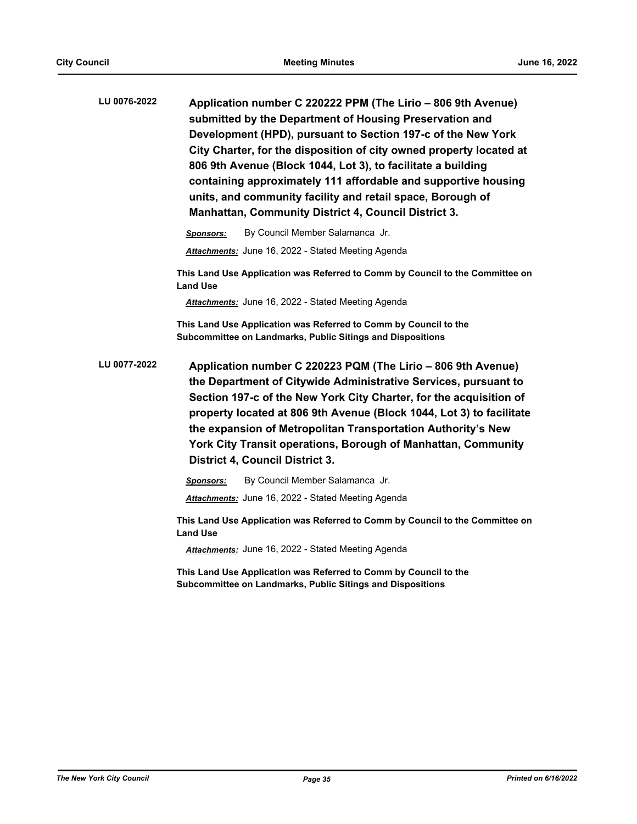| LU 0076-2022 | Application number C 220222 PPM (The Lirio - 806 9th Avenue)        |
|--------------|---------------------------------------------------------------------|
|              | submitted by the Department of Housing Preservation and             |
|              | Development (HPD), pursuant to Section 197-c of the New York        |
|              | City Charter, for the disposition of city owned property located at |
|              | 806 9th Avenue (Block 1044, Lot 3), to facilitate a building        |
|              | containing approximately 111 affordable and supportive housing      |
|              | units, and community facility and retail space, Borough of          |
|              | <b>Manhattan, Community District 4, Council District 3.</b>         |

*Sponsors:* By Council Member Salamanca Jr. *Attachments:* June 16, 2022 - Stated Meeting Agenda

**This Land Use Application was Referred to Comm by Council to the Committee on Land Use**

*Attachments:* June 16, 2022 - Stated Meeting Agenda

**This Land Use Application was Referred to Comm by Council to the Subcommittee on Landmarks, Public Sitings and Dispositions**

**Application number C 220223 PQM (The Lirio – 806 9th Avenue) the Department of Citywide Administrative Services, pursuant to Section 197-c of the New York City Charter, for the acquisition of property located at 806 9th Avenue (Block 1044, Lot 3) to facilitate the expansion of Metropolitan Transportation Authority's New York City Transit operations, Borough of Manhattan, Community District 4, Council District 3. LU 0077-2022**

*Sponsors:* By Council Member Salamanca Jr.

*Attachments:* June 16, 2022 - Stated Meeting Agenda

**This Land Use Application was Referred to Comm by Council to the Committee on Land Use**

*Attachments:* June 16, 2022 - Stated Meeting Agenda

**This Land Use Application was Referred to Comm by Council to the Subcommittee on Landmarks, Public Sitings and Dispositions**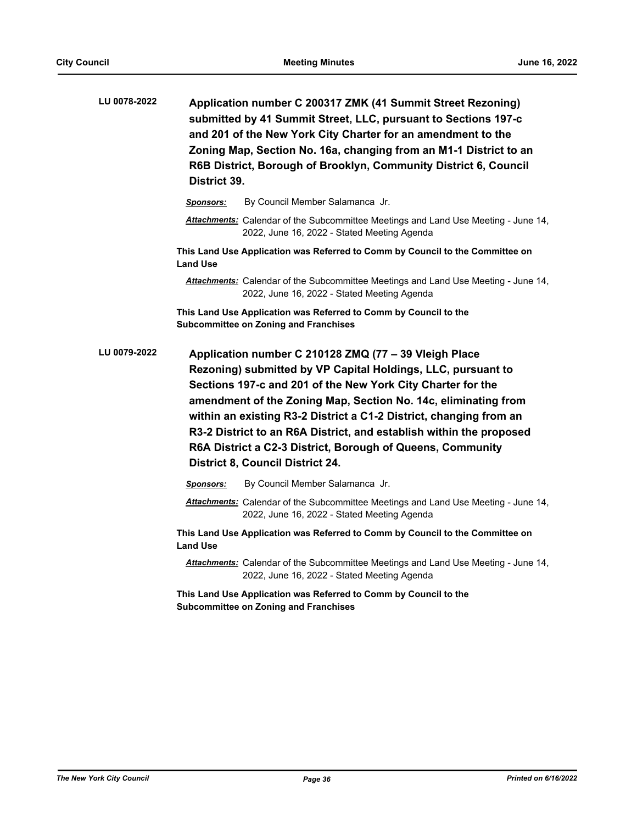| LU 0078-2022 | District 39.                                                                                                     | Application number C 200317 ZMK (41 Summit Street Rezoning)<br>submitted by 41 Summit Street, LLC, pursuant to Sections 197-c<br>and 201 of the New York City Charter for an amendment to the<br>Zoning Map, Section No. 16a, changing from an M1-1 District to an<br>R6B District, Borough of Brooklyn, Community District 6, Council                                                                                                                                                                       |  |  |
|--------------|------------------------------------------------------------------------------------------------------------------|--------------------------------------------------------------------------------------------------------------------------------------------------------------------------------------------------------------------------------------------------------------------------------------------------------------------------------------------------------------------------------------------------------------------------------------------------------------------------------------------------------------|--|--|
|              | <b>Sponsors:</b>                                                                                                 | By Council Member Salamanca Jr.                                                                                                                                                                                                                                                                                                                                                                                                                                                                              |  |  |
|              |                                                                                                                  | Attachments: Calendar of the Subcommittee Meetings and Land Use Meeting - June 14,<br>2022, June 16, 2022 - Stated Meeting Agenda                                                                                                                                                                                                                                                                                                                                                                            |  |  |
|              | <b>Land Use</b>                                                                                                  | This Land Use Application was Referred to Comm by Council to the Committee on                                                                                                                                                                                                                                                                                                                                                                                                                                |  |  |
|              |                                                                                                                  | Attachments: Calendar of the Subcommittee Meetings and Land Use Meeting - June 14,<br>2022, June 16, 2022 - Stated Meeting Agenda                                                                                                                                                                                                                                                                                                                                                                            |  |  |
|              | This Land Use Application was Referred to Comm by Council to the<br><b>Subcommittee on Zoning and Franchises</b> |                                                                                                                                                                                                                                                                                                                                                                                                                                                                                                              |  |  |
| LU 0079-2022 |                                                                                                                  | Application number C 210128 ZMQ (77 - 39 Vleigh Place<br>Rezoning) submitted by VP Capital Holdings, LLC, pursuant to<br>Sections 197-c and 201 of the New York City Charter for the<br>amendment of the Zoning Map, Section No. 14c, eliminating from<br>within an existing R3-2 District a C1-2 District, changing from an<br>R3-2 District to an R6A District, and establish within the proposed<br>R6A District a C2-3 District, Borough of Queens, Community<br><b>District 8, Council District 24.</b> |  |  |
|              | Sponsors:                                                                                                        | By Council Member Salamanca Jr.                                                                                                                                                                                                                                                                                                                                                                                                                                                                              |  |  |
|              |                                                                                                                  | Attachments: Calendar of the Subcommittee Meetings and Land Use Meeting - June 14,<br>2022, June 16, 2022 - Stated Meeting Agenda                                                                                                                                                                                                                                                                                                                                                                            |  |  |
|              | <b>Land Use</b>                                                                                                  | This Land Use Application was Referred to Comm by Council to the Committee on                                                                                                                                                                                                                                                                                                                                                                                                                                |  |  |
|              |                                                                                                                  | Attachments: Calendar of the Subcommittee Meetings and Land Use Meeting - June 14,<br>2022, June 16, 2022 - Stated Meeting Agenda                                                                                                                                                                                                                                                                                                                                                                            |  |  |
|              |                                                                                                                  | This Land Use Application was Referred to Comm by Council to the<br><b>Subcommittee on Zoning and Franchises</b>                                                                                                                                                                                                                                                                                                                                                                                             |  |  |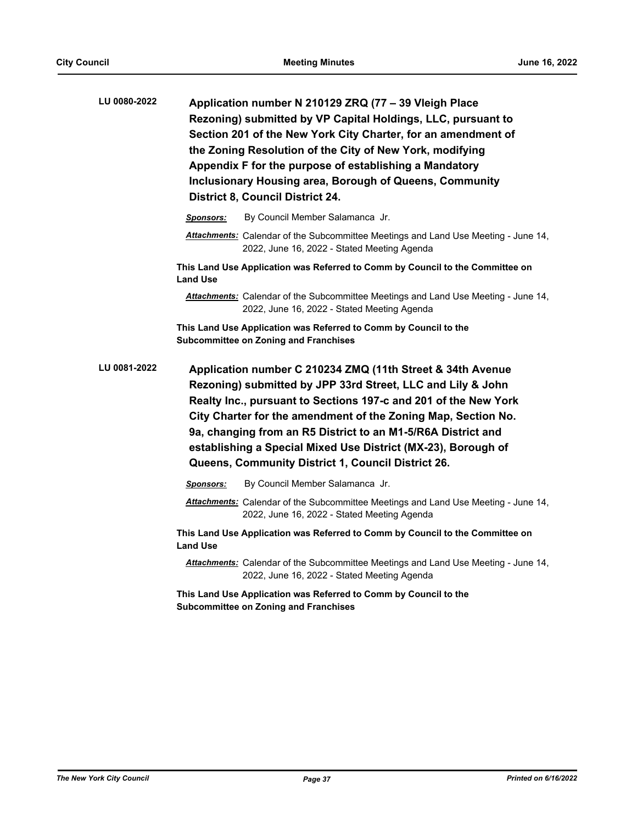| LU 0080-2022 | Application number N 210129 ZRQ (77 - 39 Vleigh Place<br>Rezoning) submitted by VP Capital Holdings, LLC, pursuant to<br>Section 201 of the New York City Charter, for an amendment of<br>the Zoning Resolution of the City of New York, modifying<br>Appendix F for the purpose of establishing a Mandatory<br><b>Inclusionary Housing area, Borough of Queens, Community</b><br><b>District 8, Council District 24.</b>                            |                                                                                                                                          |  |  |
|--------------|------------------------------------------------------------------------------------------------------------------------------------------------------------------------------------------------------------------------------------------------------------------------------------------------------------------------------------------------------------------------------------------------------------------------------------------------------|------------------------------------------------------------------------------------------------------------------------------------------|--|--|
|              | <b>Sponsors:</b>                                                                                                                                                                                                                                                                                                                                                                                                                                     | By Council Member Salamanca Jr.                                                                                                          |  |  |
|              |                                                                                                                                                                                                                                                                                                                                                                                                                                                      | Attachments: Calendar of the Subcommittee Meetings and Land Use Meeting - June 14,<br>2022, June 16, 2022 - Stated Meeting Agenda        |  |  |
|              | <b>Land Use</b>                                                                                                                                                                                                                                                                                                                                                                                                                                      | This Land Use Application was Referred to Comm by Council to the Committee on                                                            |  |  |
|              |                                                                                                                                                                                                                                                                                                                                                                                                                                                      | <b>Attachments:</b> Calendar of the Subcommittee Meetings and Land Use Meeting - June 14,<br>2022, June 16, 2022 - Stated Meeting Agenda |  |  |
|              | This Land Use Application was Referred to Comm by Council to the<br><b>Subcommittee on Zoning and Franchises</b>                                                                                                                                                                                                                                                                                                                                     |                                                                                                                                          |  |  |
| LU 0081-2022 | Application number C 210234 ZMQ (11th Street & 34th Avenue<br>Rezoning) submitted by JPP 33rd Street, LLC and Lily & John<br>Realty Inc., pursuant to Sections 197-c and 201 of the New York<br>City Charter for the amendment of the Zoning Map, Section No.<br>9a, changing from an R5 District to an M1-5/R6A District and<br>establishing a Special Mixed Use District (MX-23), Borough of<br>Queens, Community District 1, Council District 26. |                                                                                                                                          |  |  |
|              | Sponsors:                                                                                                                                                                                                                                                                                                                                                                                                                                            | By Council Member Salamanca Jr.                                                                                                          |  |  |
|              |                                                                                                                                                                                                                                                                                                                                                                                                                                                      | Attachments: Calendar of the Subcommittee Meetings and Land Use Meeting - June 14,<br>2022, June 16, 2022 - Stated Meeting Agenda        |  |  |
|              | <b>Land Use</b>                                                                                                                                                                                                                                                                                                                                                                                                                                      | This Land Use Application was Referred to Comm by Council to the Committee on                                                            |  |  |
|              |                                                                                                                                                                                                                                                                                                                                                                                                                                                      | Attachments: Calendar of the Subcommittee Meetings and Land Use Meeting - June 14,<br>2022, June 16, 2022 - Stated Meeting Agenda        |  |  |
|              |                                                                                                                                                                                                                                                                                                                                                                                                                                                      | This Land Use Application was Referred to Comm by Council to the<br><b>Subcommittee on Zoning and Franchises</b>                         |  |  |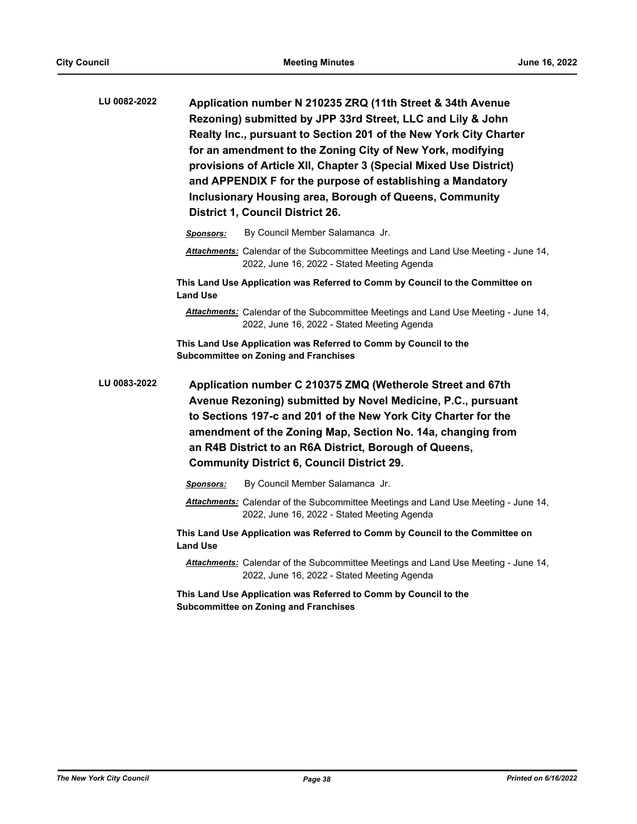| LU 0082-2022 | Application number N 210235 ZRQ (11th Street & 34th Avenue<br>Rezoning) submitted by JPP 33rd Street, LLC and Lily & John<br>Realty Inc., pursuant to Section 201 of the New York City Charter<br>for an amendment to the Zoning City of New York, modifying<br>provisions of Article XII, Chapter 3 (Special Mixed Use District)<br>and APPENDIX F for the purpose of establishing a Mandatory<br>Inclusionary Housing area, Borough of Queens, Community<br><b>District 1, Council District 26.</b> |  |  |  |
|--------------|-------------------------------------------------------------------------------------------------------------------------------------------------------------------------------------------------------------------------------------------------------------------------------------------------------------------------------------------------------------------------------------------------------------------------------------------------------------------------------------------------------|--|--|--|
|              | By Council Member Salamanca Jr.<br><b>Sponsors:</b>                                                                                                                                                                                                                                                                                                                                                                                                                                                   |  |  |  |
|              | <b>Attachments:</b> Calendar of the Subcommittee Meetings and Land Use Meeting - June 14,<br>2022, June 16, 2022 - Stated Meeting Agenda                                                                                                                                                                                                                                                                                                                                                              |  |  |  |
|              | This Land Use Application was Referred to Comm by Council to the Committee on<br><b>Land Use</b>                                                                                                                                                                                                                                                                                                                                                                                                      |  |  |  |
|              | Attachments: Calendar of the Subcommittee Meetings and Land Use Meeting - June 14,<br>2022, June 16, 2022 - Stated Meeting Agenda                                                                                                                                                                                                                                                                                                                                                                     |  |  |  |
|              | This Land Use Application was Referred to Comm by Council to the<br><b>Subcommittee on Zoning and Franchises</b>                                                                                                                                                                                                                                                                                                                                                                                      |  |  |  |
| LU 0083-2022 | Application number C 210375 ZMQ (Wetherole Street and 67th<br>Avenue Rezoning) submitted by Novel Medicine, P.C., pursuant<br>to Sections 197-c and 201 of the New York City Charter for the<br>amendment of the Zoning Map, Section No. 14a, changing from<br>an R4B District to an R6A District, Borough of Queens,<br><b>Community District 6, Council District 29.</b>                                                                                                                            |  |  |  |
|              | By Council Member Salamanca Jr.<br>Sponsors:                                                                                                                                                                                                                                                                                                                                                                                                                                                          |  |  |  |
|              | Attachments: Calendar of the Subcommittee Meetings and Land Use Meeting - June 14,<br>2022, June 16, 2022 - Stated Meeting Agenda                                                                                                                                                                                                                                                                                                                                                                     |  |  |  |

**This Land Use Application was Referred to Comm by Council to the Committee on Land Use**

*Attachments:* Calendar of the Subcommittee Meetings and Land Use Meeting - June 14, 2022, June 16, 2022 - Stated Meeting Agenda

**This Land Use Application was Referred to Comm by Council to the Subcommittee on Zoning and Franchises**